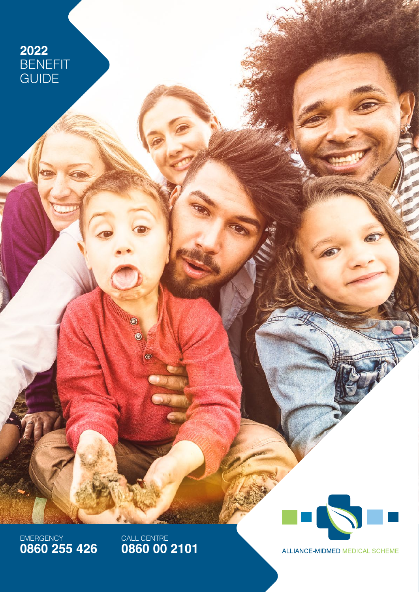# **2022** BENEFIT GUIDE

EMERGENCY **0860 255 426** CALL CENTRE **0860 00 2101**

O

 $^{\circ}$ 

 $\bullet$ 



ALLIANCE-MIDMED MEDICAL SCHEME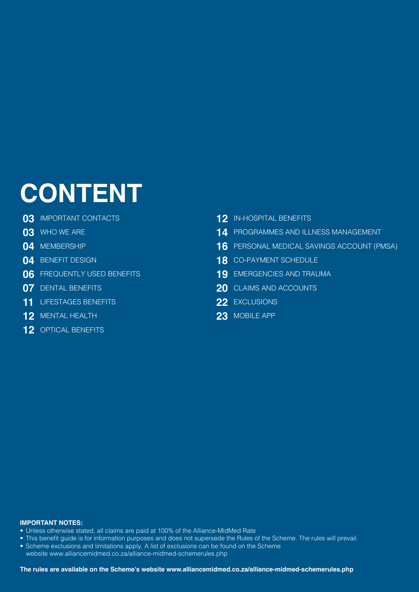# **CONTENT**

- [IMPORTANT CONTACTS](#page-2-0)
- [WHO WE ARE](#page-2-0)
- [MEMBERSHIP](#page-3-0)
- [BENEFIT DESIGN](#page-3-0)
- [FREQUENTLY USED BENEFITS](#page-5-0)
- [DENTAL BENEFITS](#page-6-0)
- [LIFESTAGES BENEFITS](#page-10-0)
- [MENTAL HEALTH](#page-11-0)
- [OPTICAL BENEFITS](#page-11-0)
- [IN-HOSPITAL BENEFITS](#page-11-0)
- [PROGRAMMES AND ILLNESS MANAGEMENT](#page-13-0)
- [PERSONAL MEDICAL SAVINGS ACCOUNT \(PMSA\)](#page-15-0)
- [CO-PAYMENT SCHEDULE](#page-17-0)
- [EMERGENCIES AND TRAUMA](#page-18-0)
- [CLAIMS AND ACCOUNTS](#page-19-0)
- [EXCLUSIONS](#page-21-0)
- [MOBILE APP](#page-22-0)

#### **IMPORTANT NOTES:**

- Unless otherwise stated, all claims are paid at 100% of the Alliance-MidMed Rate
- This benefit guide is for information purposes and does not supersede the Rules of the Scheme. The rules will prevail.
- Scheme exclusions and limitations apply. A list of exclusions can be found on the Scheme websit[e www.alliancemidmed.co.za/alliance-midmed-schemerules.php](http://www.alliancemidmed.co.za/alliance-midmed-schemerules.php)
	-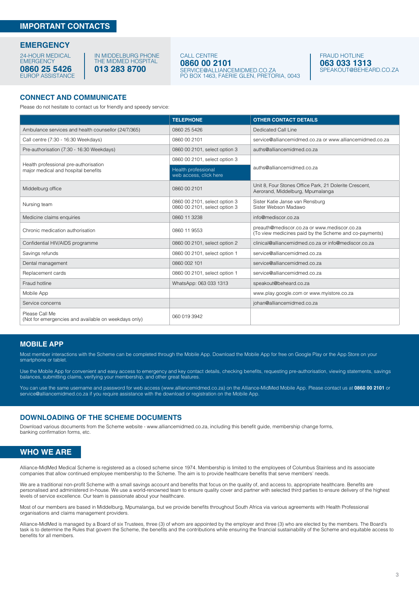#### <span id="page-2-0"></span>**IMPORTANT CONTACTS**

#### **EMERGENCY**

24-HOUR MEDICAL **EMERGENCY** EUROP ASSISTANCE **0860 25 5426**

#### IN MIDDELBURG PHONE THE MIDMED HOSPITAL **013 283 8700**

#### CALL CENTRE **0860 00 2101** [SERVICE@ALLIANCEMIDMED.CO.ZA](mailto:service%40alliancemidmed.co.za?subject=)

PO BOX 1463, FAERIE GLEN, PRETORIA, 0043

FRAUD HOTLINE **063 033 1313** [SPEAKOUT@BEHEARD.CO.ZA](mailto:speakout%40beheard.co.za?subject=)

#### **CONNECT AND COMMUNICATE**

Please do not hesitate to contact us for friendly and speedy service:

|                                                                        | <b>TELEPHONE</b>                                               | <b>OTHER CONTACT DETAILS</b>                                                                           |
|------------------------------------------------------------------------|----------------------------------------------------------------|--------------------------------------------------------------------------------------------------------|
| Ambulance services and health counsellor (24/7/365)                    | 0860 25 5426                                                   | Dedicated Call Line                                                                                    |
| Call centre (7:30 - 16:30 Weekdays)                                    | 0860 00 2101                                                   | service@alliancemidmed.co.za or www.alliancemidmed.co.za                                               |
| Pre-authorisation (7:30 - 16:30 Weekdays)                              | 0860 00 2101, select option 3                                  | auths@alliancemidmed.co.za                                                                             |
| Health professional pre-authorisation                                  | 0860 00 2101, select option 3                                  |                                                                                                        |
| major medical and hospital benefits                                    | Health professional<br>web access, click here                  | auths@alliancemidmed.co.za                                                                             |
| Middelburg office                                                      | 0860 00 2101                                                   | Unit 8, Four Stones Office Park, 21 Dolerite Crescent,<br>Aerorand, Middelburg, Mpumalanga             |
| Nursing team                                                           | 0860 00 2101, select option 3<br>0860 00 2101, select option 3 | Sister Katie Janse van Rensburg<br>Sister Webson Madawo                                                |
| Medicine claims enquiries                                              | 0860 11 3238                                                   | info@mediscor.co.za                                                                                    |
| Chronic medication authorisation                                       | 0860 11 9553                                                   | preauth@mediscor.co.za or www.mediscor.co.za<br>(To view medicines paid by the Scheme and co-payments) |
| Confidential HIV/AIDS programme                                        | 0860 00 2101, select option 2                                  | clinical@alliancemidmed.co.za or info@mediscor.co.za                                                   |
| Savings refunds                                                        | 0860 00 2101, select option 1                                  | service@alliancemidmed.co.za                                                                           |
| Dental management                                                      | 0860 002 101                                                   | service@alliancemidmed.co.za                                                                           |
| Replacement cards                                                      | 0860 00 2101, select option 1                                  | service@alliancemidmed.co.za                                                                           |
| Fraud hotline                                                          | WhatsApp: 063 033 1313                                         | speakout@beheard.co.za                                                                                 |
| Mobile App                                                             |                                                                | www.play.google.com or www.myistore.co.za                                                              |
| Service concerns                                                       |                                                                | johan@alliancemidmed.co.za                                                                             |
| Please Call Me<br>(Not for emergencies and available on weekdays only) | 060 019 3942                                                   |                                                                                                        |

#### **MOBILE APP**

Most member interactions with the Scheme can be completed through the Mobile App. Download the Mobile App for free on Google Play or the App Store on your smartphone or tablet.

Use the Mobile App for convenient and easy access to emergency and key contact details, checking benefits, requesting pre-authorisation, viewing statements, savings balances, submitting claims, verifying your membership, and other great features.

You can use the same username and password for web acces[s \(www.alliancemidmed.co.za\) o](http://www.alliancemidmed.co.za)n the Alliance-MidMed Mobile App. Please contact us at **0860 00 2101** or<br>service@alliancemidmed.co.za if you require assistance with the

#### **DOWNLOADING OF THE SCHEME DOCUMENTS**

Download various documents from the Scheme website [- www.alliancemidmed.co.za,](http://www.alliancemidmed.co.za) including this benefit guide, membership change forms, banking confirmation forms, etc.

#### **WHO WE ARE**

Alliance-MidMed Medical Scheme is registered as a closed scheme since 1974. Membership is limited to the employees of Columbus Stainless and its associate companies that allow continued employee membership to the Scheme. The aim is to provide healthcare benefits that serve members' needs.

We are a traditional non-profit Scheme with a small savings account and benefits that focus on the quality of, and access to, appropriate healthcare. Benefits are personalised and administered in-house. We use a world-renowned team to ensure quality cover and partner with selected third parties to ensure delivery of the highest levels of service excellence. Our team is passionate about your healthcare.

Most of our members are based in Middelburg, Mpumalanga, but we provide benefits throughout South Africa via various agreements with Health Professional organisations and claims management providers.

Alliance-MidMed is managed by a Board of six Trustees, three (3) of whom are appointed by the employer and three (3) who are elected by the members. The Board's task is to determine the Rules that govern the Scheme, the benefits and the contributions while ensuring the financial sustainability of the Scheme and equitable access to benefits for all members.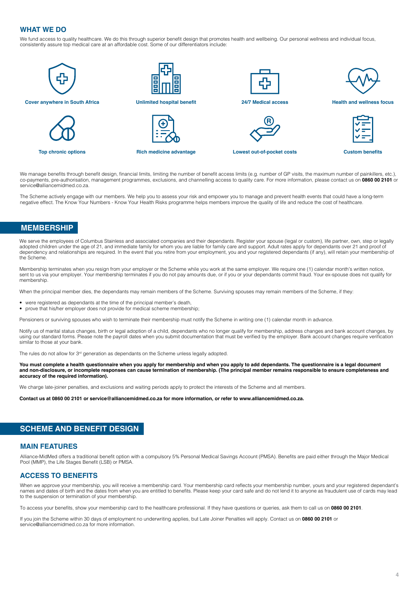#### <span id="page-3-0"></span>**WHAT WE DO**

We fund access to quality healthcare. We do this through superior benefit design that promotes health and wellbeing. Our personal wellness and individual focus, consistently assure top medical care at an affordable cost. Some of our differentiators include:



We manage benefits through benefit design, financial limits, limiting the number of benefit access limits (e.g. number of GP visits, the maximum number of painkillers, etc.), co-payments, pre-authorisation, management programmes, exclusions, and channelling access to quality care. For more information, please contact us on **0860 00 2101** or service@alliancemidmed.co.za.

The Scheme actively engage with our members. We help you to assess your risk and empower you to manage and prevent health events that could have a long-term negative effect. The Know Your Numbers - Know Your Health Risks programme helps members improve the quality of life and reduce the cost of healthcare.

# **MEMBERSHIP**

We serve the employees of Columbus Stainless and associated companies and their dependants. Register your spouse (legal or custom), life partner, own, step or legally adopted children under the age of 21, and immediate family for whom you are liable for family care and support. Adult rates apply for dependants over 21 and proof of dependency and relationships are required. In the event that you retire from your employment, you and your registered dependants (if any), will retain your membership of the Scheme.

Membership terminates when you resign from your employer or the Scheme while you work at the same employer. We require one (1) calendar month's written notice, sent to us via your employer. Your membership terminates if you do not pay amounts due, or if you or your dependants commit fraud. Your ex-spouse does not qualify for membership.

When the principal member dies, the dependants may remain members of the Scheme. Surviving spouses may remain members of the Scheme, if they:

- were registered as dependants at the time of the principal member's death,
- prove that his/her employer does not provide for medical scheme membership;

Pensioners or surviving spouses who wish to terminate their membership must notify the Scheme in writing one (1) calendar month in advance.

Notify us of marital status changes, birth or legal adoption of a child, dependants who no longer qualify for membership, address changes and bank account changes, by using our standard forms. Please note the payroll dates when you submit documentation that must be verified by the employer. Bank account changes require verification similar to those at your bank.

The rules do not allow for 3<sup>rd</sup> generation as dependants on the Scheme unless legally adopted.

**You must complete a health questionnaire when you apply for membership and when you apply to add dependants. The questionnaire is a legal document and non-disclosure, or incomplete responses can cause termination of membership. (The principal member remains responsible to ensure completeness and accuracy of the required information).**

We charge late-joiner penalties, and exclusions and waiting periods apply to protect the interests of the Scheme and all members.

**Contact us at 0860 00 2101 o[r service@alliancemidmed.co.za f](mailto:service%40alliancemidmed.co.za?subject=)or more information, or refer t[o www.alliancemidmed.co.za.](http://www.alliancemidmed.co.za)** 

# **SCHEME AND BENEFIT DESIGN**

#### **MAIN FEATURES**

Alliance-MidMed offers a traditional benefit option with a compulsory 5% Personal Medical Savings Account (PMSA). Benefits are paid either through the Major Medical Pool (MMP), the Life Stages Benefit (LSB) or PMSA.

#### **ACCESS TO BENEFITS**

When we approve your membership, you will receive a membership card. Your membership card reflects your membership number, yours and your registered dependant's names and dates of birth and the dates from when you are entitled to benefits. Please keep your card safe and do not lend it to anyone as fraudulent use of cards may lead to the suspension or termination of your membership.

To access your benefits, show your membership card to the healthcare professional. If they have questions or queries, ask them to call us on **0860 00 2101**.

If you join the Scheme within 30 days of employment no underwriting applies, but Late Joiner Penalties will apply. Contact us on **0860 00 2101** or service@alliancemidmed.co.za for more information.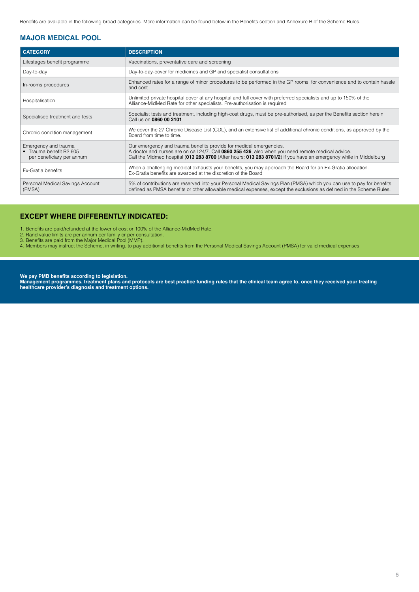Benefits are available in the following broad categories. More information can be found below in the Benefits section and Annexure B of the Scheme Rules.

## **MAJOR MEDICAL POOL**

| <b>CATEGORY</b>                                                              | <b>DESCRIPTION</b>                                                                                                                                                                                                                                                                            |
|------------------------------------------------------------------------------|-----------------------------------------------------------------------------------------------------------------------------------------------------------------------------------------------------------------------------------------------------------------------------------------------|
| Lifestages benefit programme                                                 | Vaccinations, preventative care and screening                                                                                                                                                                                                                                                 |
| Day-to-day                                                                   | Day-to-day-cover for medicines and GP and specialist consultations                                                                                                                                                                                                                            |
| In-rooms procedures                                                          | Enhanced rates for a range of minor procedures to be performed in the GP rooms, for convenience and to contain hassle<br>and cost                                                                                                                                                             |
| Hospitalisation                                                              | Unlimited private hospital cover at any hospital and full cover with preferred specialists and up to 150% of the<br>Alliance-MidMed Rate for other specialists. Pre-authorisation is required                                                                                                 |
| Specialised treatment and tests                                              | Specialist tests and treatment, including high-cost drugs, must be pre-authorised, as per the Benefits section herein.<br>Call us on 0860 00 2101                                                                                                                                             |
| Chronic condition management                                                 | We cover the 27 Chronic Disease List (CDL), and an extensive list of additional chronic conditions, as approved by the<br>Board from time to time.                                                                                                                                            |
| Emergency and trauma<br>• Trauma benefit R2 605<br>per beneficiary per annum | Our emergency and trauma benefits provide for medical emergencies.<br>A doctor and nurses are on call 24/7. Call 0860 255 426, also when you need remote medical advice.<br>Call the Midmed hospital (013 283 8700 (After hours: 013 283 8701/2) if you have an emergency while in Middelburg |
| Ex-Gratia benefits                                                           | When a challenging medical exhausts your benefits, you may approach the Board for an Ex-Gratia allocation.<br>Ex-Gratia benefits are awarded at the discretion of the Board                                                                                                                   |
| Personal Medical Savings Account<br>(PMSA)                                   | 5% of contributions are reserved into your Personal Medical Savings Plan (PMSA) which you can use to pay for benefits<br>defined as PMSA benefits or other allowable medical expenses, except the exclusions as defined in the Scheme Rules.                                                  |

## **EXCEPT WHERE DIFFERENTLY INDICATED:**

1. Benefits are paid/refunded at the lower of cost or 100% of the Alliance-MidMed Rate.

2. Rand value limits are per annum per family or per consultation.

3. Benefits are paid from the Major Medical Pool (MMP).

4. Members may instruct the Scheme, in writing, to pay additional benefits from the Personal Medical Savings Account (PMSA) for valid medical expenses.

**We pay PMB benefits according to legislation.**

**Management programmes, treatment plans and protocols are best practice funding rules that the clinical team agree to, once they received your treating healthcare provider's diagnosis and treatment options.**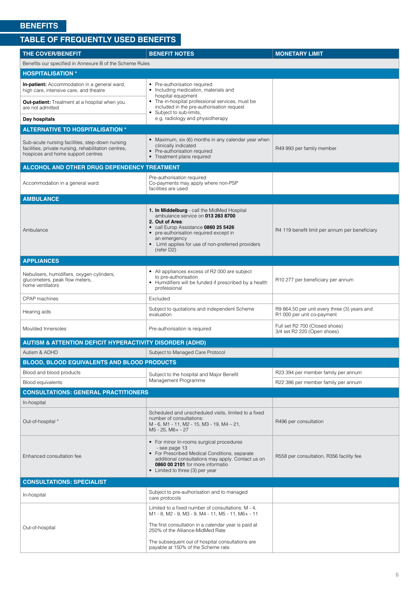# <span id="page-5-0"></span>**TABLE OF FREQUENTLY USED BENEFITS**

| <b>THE COVER/BENEFIT</b>                                                                                                                     | <b>BENEFIT NOTES</b>                                                                                                                                                                                                                                                      | <b>MONETARY LIMIT</b>                                                      |
|----------------------------------------------------------------------------------------------------------------------------------------------|---------------------------------------------------------------------------------------------------------------------------------------------------------------------------------------------------------------------------------------------------------------------------|----------------------------------------------------------------------------|
| Benefits our specified in Annexure B of the Scheme Rules                                                                                     |                                                                                                                                                                                                                                                                           |                                                                            |
| <b>HOSPITALISATION *</b>                                                                                                                     |                                                                                                                                                                                                                                                                           |                                                                            |
| <b>In-patient:</b> Accommodation in a general ward,<br>high care, intensive care, and theatre                                                | • Pre-authorisation required<br>• Including medication, materials and<br>hospital equipment                                                                                                                                                                               |                                                                            |
| <b>Out-patient:</b> Treatment at a hospital when you<br>are not admitted                                                                     | • The in-hospital professional services, must be<br>included in the pre-authorisation request<br>• Subject to sub-limits,                                                                                                                                                 |                                                                            |
| Day hospitals                                                                                                                                | e.g. radiology and physiotherapy                                                                                                                                                                                                                                          |                                                                            |
| <b>ALTERNATIVE TO HOSPITALISATION *</b>                                                                                                      |                                                                                                                                                                                                                                                                           |                                                                            |
| Sub-acute nursing facilities, step-down nursing<br>facilities, private nursing, rehabilitation centres,<br>hospices and home support centres | • Maximum, six (6) months in any calendar year when<br>clinically indicated<br>• Pre-authorisation required<br>• Treatment plans required                                                                                                                                 | R49 993 per family member                                                  |
| ALCOHOL AND OTHER DRUG DEPENDENCY TREATMENT                                                                                                  |                                                                                                                                                                                                                                                                           |                                                                            |
| Accommodation in a general ward                                                                                                              | Pre-authorisation required<br>Co-payments may apply where non-PSP<br>facilities are used                                                                                                                                                                                  |                                                                            |
| <b>AMBULANCE</b>                                                                                                                             |                                                                                                                                                                                                                                                                           |                                                                            |
| Ambulance                                                                                                                                    | 1. In Middelburg - call the MidMed Hospital<br>ambulance service on 013 283 8700<br>2. Out of Area:<br>• call Europ Assistance 0860 25 5426<br>• pre-authorisation required except in<br>an emergency<br>• Limit applies for use of non-preferred providers<br>(refer D2) | R4 119 benefit limit per annum per beneficiary                             |
| <b>APPLIANCES</b>                                                                                                                            |                                                                                                                                                                                                                                                                           |                                                                            |
| Nebulisers, humidifiers, oxygen cylinders,<br>glucometers, peak flow meters,<br>home ventilators                                             | • All appliances excess of R2 000 are subject<br>to pre-authorisation<br>• Humidifiers will be funded if prescribed by a health<br>professional                                                                                                                           | R10 277 per beneficiary per annum                                          |
| <b>CPAP</b> machines                                                                                                                         | Excluded                                                                                                                                                                                                                                                                  |                                                                            |
| Hearing aids                                                                                                                                 | Subject to quotations and independent Scheme<br>evaluation                                                                                                                                                                                                                | R9 864,50 per unit every three (3) years and<br>R1 000 per unit co-payment |
| Moulded Innersoles                                                                                                                           | Pre-authorisation is required                                                                                                                                                                                                                                             | Full set R2 700 (Closed shoes)<br>3/4 set R2 220 (Open shoes)              |
| <b>AUTISM &amp; ATTENTION DEFICIT HYPERACTIVITY DISORDER (ADHD)</b>                                                                          |                                                                                                                                                                                                                                                                           |                                                                            |
| Autism & ADHD                                                                                                                                | Subject to Managed Care Protocol                                                                                                                                                                                                                                          |                                                                            |
| <b>BLOOD, BLOOD EQUIVALENTS AND BLOOD PRODUCTS</b>                                                                                           |                                                                                                                                                                                                                                                                           |                                                                            |
| Blood and blood products                                                                                                                     | Subject to the hospital and Major Benefit                                                                                                                                                                                                                                 | R23 394 per member family per annum                                        |
| <b>Blood equivalents</b>                                                                                                                     | Management Programme                                                                                                                                                                                                                                                      | R22 386 per member family per annum                                        |
| <b>CONSULTATIONS: GENERAL PRACTITIONERS</b>                                                                                                  |                                                                                                                                                                                                                                                                           |                                                                            |
| In-hospital                                                                                                                                  |                                                                                                                                                                                                                                                                           |                                                                            |
| Out-of-hospital *                                                                                                                            | Scheduled and unscheduled visits, limited to a fixed<br>number of consultations:<br>M - 6, M1 - 11, M2 - 15, M3 - 19, M4 - 21,<br>M5 - 25, M6+ - 27                                                                                                                       | R496 per consultation                                                      |
| Enhanced consultation fee                                                                                                                    | • For minor In-rooms surgical procedures<br>- see page 13<br>• For Prescribed Medical Conditions, separate<br>additional consultations may apply. Contact us on<br>0860 00 2101 for more informatio<br>• Limited to three (3) per year                                    | R558 per consultation, R356 facility fee                                   |
| <b>CONSULTATIONS: SPECIALIST</b>                                                                                                             |                                                                                                                                                                                                                                                                           |                                                                            |
| In-hospital                                                                                                                                  | Subject to pre-authorisation and to managed<br>care protocols                                                                                                                                                                                                             |                                                                            |
|                                                                                                                                              | Limited to a fixed number of consultations: M - 4,<br>M1 - 8, M2 - 9, M3 - 9, M4 - 11, M5 - 11, M6+ - 11                                                                                                                                                                  |                                                                            |
| Out-of-hospital                                                                                                                              | The first consultation in a calendar year is paid at<br>250% of the Alliance-MidMed Rate                                                                                                                                                                                  |                                                                            |
|                                                                                                                                              | The subsequent out of hospital consultations are<br>payable at 150% of the Scheme rate.                                                                                                                                                                                   |                                                                            |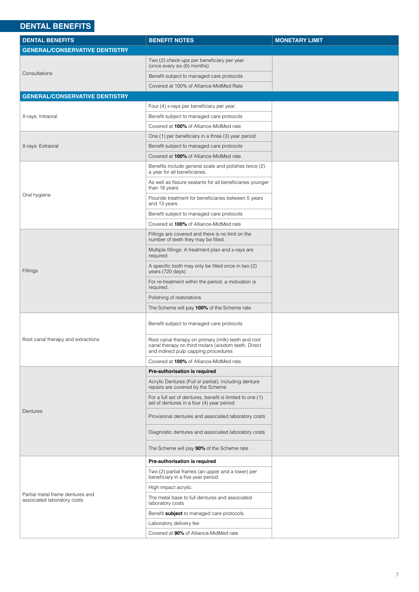# <span id="page-6-0"></span>**DENTAL BENEFITS**

| <b>DENTAL BENEFITS</b>                                          | <b>BENEFIT NOTES</b>                                                                                                                               | <b>MONETARY LIMIT</b> |
|-----------------------------------------------------------------|----------------------------------------------------------------------------------------------------------------------------------------------------|-----------------------|
| <b>GENERAL/CONSERVATIVE DENTISTRY</b>                           |                                                                                                                                                    |                       |
|                                                                 | Two (2) check-ups per beneficiary per year<br>(once every six (6) months)                                                                          |                       |
| Consultations                                                   | Benefit subject to managed care protocols                                                                                                          |                       |
|                                                                 | Covered at 100% of Alliance-MidMed Rate                                                                                                            |                       |
| <b>GENERAL/CONSERVATIVE DENTISTRY</b>                           |                                                                                                                                                    |                       |
|                                                                 | Four (4) x-rays per beneficiary per year.                                                                                                          |                       |
| X-rays: Intraoral                                               | Benefit subject to managed care protocols                                                                                                          |                       |
|                                                                 | Covered at 100% of Alliance-MidMed rate                                                                                                            |                       |
|                                                                 | One (1) per beneficiary in a three (3) year period                                                                                                 |                       |
| X-rays: Extraoral                                               | Benefit subject to managed care protocols                                                                                                          |                       |
|                                                                 | Covered at 100% of Alliance-MidMed rate                                                                                                            |                       |
|                                                                 | Benefits include general scale and polishes twice (2)<br>a year for all beneficiaries.                                                             |                       |
|                                                                 | As well as fissure sealants for all beneficiaries younger<br>than 16 years                                                                         |                       |
| Oral hygiene                                                    | Flouride treatment for beneficiaries between 5 years<br>and 13 years.                                                                              |                       |
|                                                                 | Benefit subject to managed care protocols                                                                                                          |                       |
|                                                                 | Covered at 100% of Alliance-MidMed rate                                                                                                            |                       |
|                                                                 | Fillings are covered and there is no limit on the<br>number of teeth they may be filled.                                                           |                       |
|                                                                 | Multiple fillings: A treatment plan and x-rays are<br>required.                                                                                    |                       |
| Fillings                                                        | A specific tooth may only be filled once in two (2)<br>years (720 days)                                                                            |                       |
|                                                                 | For re-treatment within the period, a motivation is<br>required.                                                                                   |                       |
|                                                                 | Polishing of restorations                                                                                                                          |                       |
|                                                                 | The Scheme will pay 100% of the Scheme rate                                                                                                        |                       |
| Root canal therapy and extractions                              | Benefit subject to managed care protocols                                                                                                          |                       |
|                                                                 | Root canal therapy on primary (milk) teeth and root<br>canal therapy on third molars (wisdom teeth. Direct<br>and indirect pulp capping procedures |                       |
|                                                                 | Covered at 100% of Alliance-MidMed rate                                                                                                            |                       |
|                                                                 | Pre-authorisation is required                                                                                                                      |                       |
|                                                                 | Acrylic Dentures (Full or partial), including denture<br>repairs are covered by the Scheme                                                         |                       |
|                                                                 | For a full set of dentures, benefit is limited to one (1)<br>set of dentures in a four (4) year period                                             |                       |
| Dentures                                                        | Provisional dentures and associated laboratory costs                                                                                               |                       |
|                                                                 | Diagnostic dentures and associated laboratory costs                                                                                                |                       |
|                                                                 | The Scheme will pay 90% of the Scheme rate                                                                                                         |                       |
| Partial metal frame dentures and<br>associated laboratory costs | Pre-authorisation is required                                                                                                                      |                       |
|                                                                 | Two (2) partial frames (an upper and a lower) per<br>beneficiary in a five year period.                                                            |                       |
|                                                                 | High impact acrylic.                                                                                                                               |                       |
|                                                                 | The metal base to full dentures and associated<br>laboratory costs                                                                                 |                       |
|                                                                 | Benefit subject to managed care protocols.                                                                                                         |                       |
|                                                                 | Laboratory delivery fee                                                                                                                            |                       |
|                                                                 | Covered at 90% of Alliance-MidMed rate                                                                                                             |                       |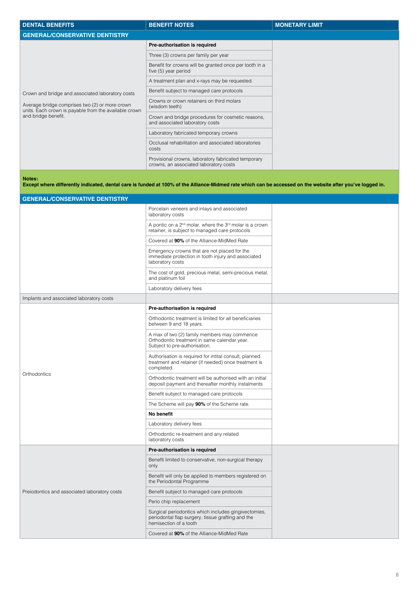| <b>DENTAL BENEFITS</b>                                                                                                                                                             | <b>BENEFIT NOTES</b>                                                                          | <b>MONETARY LIMIT</b> |
|------------------------------------------------------------------------------------------------------------------------------------------------------------------------------------|-----------------------------------------------------------------------------------------------|-----------------------|
| <b>GENERAL/CONSERVATIVE DENTISTRY</b>                                                                                                                                              |                                                                                               |                       |
| Crown and bridge and associated laboratory costs<br>Average bridge comprises two (2) or more crown<br>units. Each crown is payable from the available crown<br>and bridge benefit. | Pre-authorisation is required                                                                 |                       |
|                                                                                                                                                                                    | Three (3) crowns per family per year                                                          |                       |
|                                                                                                                                                                                    | Benefit for crowns will be granted once per tooth in a<br>five (5) year period                |                       |
|                                                                                                                                                                                    | A treatment plan and x-rays may be requested.                                                 |                       |
|                                                                                                                                                                                    | Benefit subject to managed care protocols                                                     |                       |
|                                                                                                                                                                                    | Crowns or crown retainers on third molars<br>(wisdom teeth)                                   |                       |
|                                                                                                                                                                                    | Crown and bridge procedures for cosmetic reasons,<br>and associated laboratory costs          |                       |
|                                                                                                                                                                                    | Laboratory fabricated temporary crowns                                                        |                       |
|                                                                                                                                                                                    | Occlusal rehabilitation and associated laboratories<br>costs                                  |                       |
|                                                                                                                                                                                    | Provisional crowns, laboratory fabricated temporary<br>crowns, an associated laboratory costs |                       |

```
Notes:
```
**Except where differently indicated, dental care is funded at 100% of the Alliance-Midmed rate which can be accessed on the website after you've logged in.**

| <b>GENERAL/CONSERVATIVE DENTISTRY</b>        |                                                                                                                                     |
|----------------------------------------------|-------------------------------------------------------------------------------------------------------------------------------------|
|                                              | Porcelain veneers and inlays and associated<br>laboratory costs                                                                     |
|                                              | A pontic on a 2 <sup>nd</sup> molar, where the 3 <sup>rd</sup> molar is a crown<br>retainer, is subject to managed care protocols   |
|                                              | Covered at 90% of the Alliance-MidMed Rate                                                                                          |
|                                              | Emergency crowns that are not placed for the<br>immediate protection in tooth injury and associated<br>laboratory costs             |
|                                              | The cost of gold, precious metal, semi-precious metal,<br>and platinum foil                                                         |
|                                              | Laboratory delivery fees                                                                                                            |
| Implants and associated laboratory costs     |                                                                                                                                     |
|                                              | Pre-authorisation is required                                                                                                       |
|                                              | Orthodontic treatment is limited for all beneficiaries<br>between 9 and 18 years.                                                   |
| Orthodontics                                 | A max of two (2) family members may commence<br>Orthodontic treatment in same calendar year.<br>Subject to pre-authorisation.       |
|                                              | Authorisation is required for intital consult, planned<br>treatment and retainer (if needed) once treatment is<br>completed.        |
|                                              | Orthodontic treatment will be authorised with an initial<br>deposit payment and thereafter monthly instalments                      |
|                                              | Benefit subject to managed care protocols                                                                                           |
|                                              | The Scheme will pay 90% of the Scheme rate.                                                                                         |
|                                              | No benefit                                                                                                                          |
|                                              | Laboratory delivery fees                                                                                                            |
|                                              | Orthodontic re-treatment and any related<br>laboratory costs                                                                        |
|                                              | Pre-authorisation is required                                                                                                       |
|                                              | Benefit limited to conservative, non-surgical therapy<br>only                                                                       |
|                                              | Benefit will only be applied to members registered on<br>the Periodontal Programme                                                  |
| Preiodontics and associated laboratory costs | Benefit subject to managed care protocols                                                                                           |
|                                              | Perio chip replacement                                                                                                              |
|                                              | Surgical periodontics which includes gingivectomies,<br>periodontal flap surgery, tissue grafting and the<br>hemisection of a tooth |
|                                              | Covered at 90% of the Alliance-MidMed Rate                                                                                          |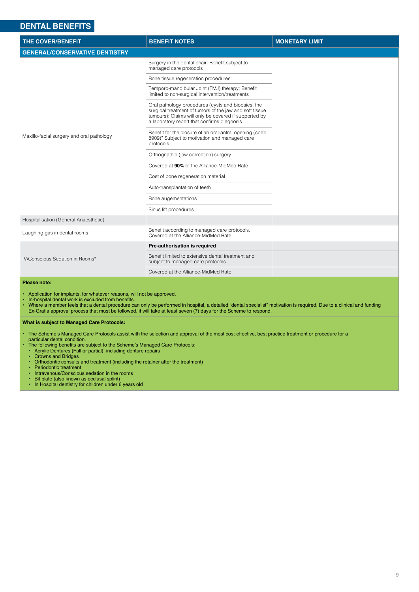# **DENTAL BENEFITS**

| <b>THE COVER/BENEFIT</b>                  | <b>BENEFIT NOTES</b>                                                                                                                                                                                                  | <b>MONETARY LIMIT</b> |
|-------------------------------------------|-----------------------------------------------------------------------------------------------------------------------------------------------------------------------------------------------------------------------|-----------------------|
| <b>GENERAL/CONSERVATIVE DENTISTRY</b>     |                                                                                                                                                                                                                       |                       |
| Maxillo-facial surgery and oral pathology | Surgery in the dental chair: Benefit subject to<br>managed care protocols                                                                                                                                             |                       |
|                                           | Bone tissue regeneration procedures                                                                                                                                                                                   |                       |
|                                           | Temporo-mandibular Joint (TMJ) therapy: Benefit<br>limited to non-surgical intervention/treatments                                                                                                                    |                       |
|                                           | Oral pathology procedures (cysts and biopsies, the<br>surgical treatment of tumors of the jaw and soft tissue<br>tumours): Claims will only be covered if supported by<br>a laboratory report that confirms diagnosis |                       |
|                                           | Benefit for the closure of an oral-antral opening (code<br>8909)" Subject to motivation and managed care<br>protocols                                                                                                 |                       |
|                                           | Orthognathic (jaw correction) surgery                                                                                                                                                                                 |                       |
|                                           | Covered at 90% of the Alliance-MidMed Rate                                                                                                                                                                            |                       |
|                                           | Cost of bone regeneration material                                                                                                                                                                                    |                       |
|                                           | Auto-transplantation of teeth                                                                                                                                                                                         |                       |
|                                           | Bone augementations                                                                                                                                                                                                   |                       |
|                                           | Sinus lift procedures                                                                                                                                                                                                 |                       |
| Hospitalisation (General Anaesthetic)     |                                                                                                                                                                                                                       |                       |
| Laughing gas in dental rooms              | Benefit according to managed care protocols.<br>Covered at the Alliance-MidMed Rate                                                                                                                                   |                       |
|                                           | Pre-authorisation is required                                                                                                                                                                                         |                       |
| IV/Conscious Sedation in Rooms*           | Benefit limited to extensive dental treatment and<br>subject to managed care protocols                                                                                                                                |                       |
|                                           | Covered at the Alliance-MidMed Rate                                                                                                                                                                                   |                       |

#### **Please note:**

- Application for implants, for whatever reasons, will not be approved.<br>• In-hospital dental work is excluded from benefits.<br>• Where a member feels that a dental procedure can only be performed.
- In-hospital dental work is excluded from benefits.
- Where a member feels that a dental procedure can only be performed in hospital, a detailed "dental specialist" motivation is required. Due to a clinical and funding Ex-Gratia approval process that must be followed, it will take at least seven (7) days for the Scheme to respond.

#### **What is subject to Managed Care Protocols:**

- The Scheme's Managed Care Protocols assist with the selection and approval of the most cost-effective, best practice treatment or procedure for a
	- particular dental condition.
	- The following benefits are subject to the Scheme's Managed Care Protocols:<br>• Acrylic Dentures (Full or partial), including denture repairs<br>• Crowns and Bridges • Acrylic Dentures (Full or partial), including denture repairs
	- Crowns and Bridges
	- Orthodontic consults and treatment (including the retainer after the treatment)
	- Periodontic treatment
	- Intravenous/Conscious sedation in the rooms • Bit plate (also known as occlusal splint)
	- In Hospital dentistry for children under 6 years old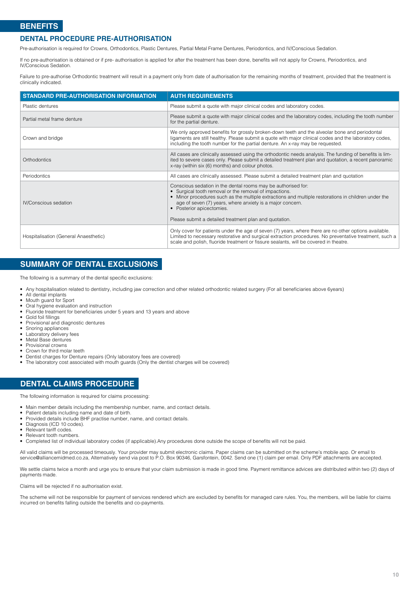#### **DENTAL PROCEDURE PRE-AUTHORISATION**

Pre-authorisation is required for Crowns, Orthodontics, Plastic Dentures, Partial Metal Frame Dentures, Periodontics, and IV/Conscious Sedation.

If no pre-authorisation is obtained or if pre- authorisation is applied for after the treatment has been done, benefits will not apply for Crowns, Periodontics, and IV/Conscious Sedation.

Failure to pre-authorise Orthodontic treatment will result in a payment only from date of authorisation for the remaining months of treatment, provided that the treatment is clinically indicated.

| <b>STANDARD PRE-AUTHORISATION INFORMATION</b> | <b>AUTH REQUIREMENTS</b>                                                                                                                                                                                                                                                                                                                                                           |
|-----------------------------------------------|------------------------------------------------------------------------------------------------------------------------------------------------------------------------------------------------------------------------------------------------------------------------------------------------------------------------------------------------------------------------------------|
| Plastic dentures                              | Please submit a quote with major clinical codes and laboratory codes.                                                                                                                                                                                                                                                                                                              |
| Partial metal frame denture                   | Please submit a quote with major clinical codes and the laboratory codes, including the tooth number<br>for the partial denture.                                                                                                                                                                                                                                                   |
| Crown and bridge                              | We only approved benefits for grossly broken-down teeth and the alveolar bone and periodontal<br>ligaments are still healthy. Please submit a quote with major clinical codes and the laboratory codes,<br>including the tooth number for the partial denture. An x-ray may be requested.                                                                                          |
| Orthodontics                                  | All cases are clinically assessed using the orthodontic needs analysis. The funding of benefits is lim-<br>ited to severe cases only. Please submit a detailed treatment plan and quotation, a recent panoramic<br>x-ray (within six (6) months) and colour photos.                                                                                                                |
| Periodontics                                  | All cases are clinically assessed. Please submit a detailed treatment plan and quotation                                                                                                                                                                                                                                                                                           |
| IV/Conscious sedation                         | Conscious sedation in the dental rooms may be authorised for:<br>• Surgical tooth removal or the removal of impactions.<br>• Minor procedures such as the multiple extractions and multiple restorations in children under the<br>age of seven (7) years, where anxiety is a major concern.<br>• Posterior apicectomies.<br>Please submit a detailed treatment plan and quotation. |
| Hospitalisation (General Anaesthetic)         | Only cover for patients under the age of seven (7) years, where there are no other options available.<br>Limited to necessary restorative and surgical extraction procedures. No preventative treatment, such a<br>scale and polish, fluoride treatment or fissure sealants, will be covered in theatre.                                                                           |

# **SUMMARY OF DENTAL EXCLUSIONS**

The following is a summary of the dental specific exclusions:

- Any hospitalisation related to dentistry, including jaw correction and other related orthodontic related surgery (For all beneficiaries above 6years)
- All dental implants
- Mouth guard for Sport
- Oral hygiene evaluation and instruction<br>• Fluoride treatment for beneficiaries und
- Fluoride treatment for beneficiaries under 5 years and 13 years and above<br>• Gold foil fillings
- Gold foil fillings
- Provisional and diagnostic dentures
- Snoring appliances
- Laboratory delivery fees • Metal Base dentures
- Provisional crowns
- Crown for third molar teeth
- Dentist charges for Denture repairs (Only laboratory fees are covered)<br>• The laboratory cost associated with mouth quards (Only the dentist charge
- The laboratory cost associated with mouth guards (Only the dentist charges will be covered)

# **DENTAL CLAIMS PROCEDURE**

The following information is required for claims processing:

- Main member details including the membership number, name, and contact details.
- Patient details including name and date of birth.
- Provided details include BHF practise number, name, and contact details.
- Diagnosis (ICD 10 codes).<br>• Relevant tariff codes
- Relevant tariff codes
- Relevant tooth numbers.<br>• Completed list of individend
- Completed list of individual laboratory codes (if applicable).Any procedures done outside the scope of benefits will not be paid.

All valid claims will be processed timeously. Your provider may submit electronic claims. Paper claims can be submitted on the scheme's mobile app. Or email to [service@alliancemidmed.co.za, A](mailto:service%40alliancemidmed.co.za?subject=)lternatively send via post to P.O. Box 90346, Garsfontein, 0042. Send one (1) claim per email. Only PDF attachments are accepted.

We settle claims twice a month and urge you to ensure that your claim submission is made in good time. Payment remittance advices are distributed within two (2) days of payments made.

Claims will be rejected if no authorisation exist.

The scheme will not be responsible for payment of services rendered which are excluded by benefits for managed care rules. You, the members, will be liable for claims incurred on benefits falling outside the benefits and co-payments.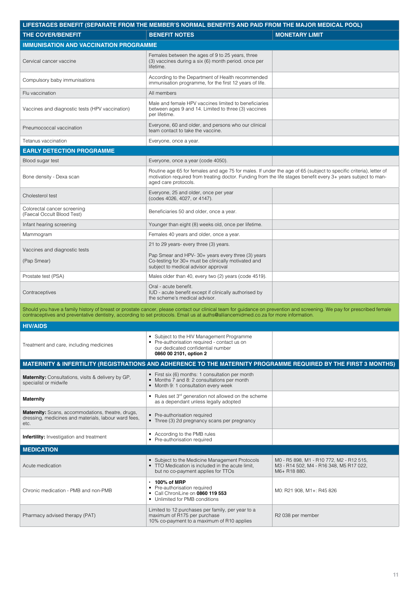<span id="page-10-0"></span>

| LIFESTAGES BENEFIT (SEPARATE FROM THE MEMBER'S NORMAL BENEFITS AND PAID FROM THE MAJOR MEDICAL POOL)                     |                                                                                                                                                                                                                                                                                                               |                                                                                                     |  |
|--------------------------------------------------------------------------------------------------------------------------|---------------------------------------------------------------------------------------------------------------------------------------------------------------------------------------------------------------------------------------------------------------------------------------------------------------|-----------------------------------------------------------------------------------------------------|--|
| <b>THE COVER/BENEFIT</b>                                                                                                 | <b>BENEFIT NOTES</b>                                                                                                                                                                                                                                                                                          | <b>MONETARY LIMIT</b>                                                                               |  |
| <b>IMMUNISATION AND VACCINATION PROGRAMME</b>                                                                            |                                                                                                                                                                                                                                                                                                               |                                                                                                     |  |
| Cervical cancer vaccine                                                                                                  | Females between the ages of 9 to 25 years, three<br>(3) vaccines during a six (6) month period. once per<br>lifetime.                                                                                                                                                                                         |                                                                                                     |  |
| Compulsory baby immunisations                                                                                            | According to the Department of Health recommended<br>immunisation programme, for the first 12 years of life.                                                                                                                                                                                                  |                                                                                                     |  |
| Flu vaccination                                                                                                          | All members                                                                                                                                                                                                                                                                                                   |                                                                                                     |  |
| Vaccines and diagnostic tests (HPV vaccination)                                                                          | Male and female HPV vaccines limited to beneficiaries<br>between ages 9 and 14. Limited to three (3) vaccines<br>per lifetime.                                                                                                                                                                                |                                                                                                     |  |
| Pneumococcal vaccination                                                                                                 | Everyone, 60 and older, and persons who our clinical<br>team contact to take the vaccine.                                                                                                                                                                                                                     |                                                                                                     |  |
| Tetanus vaccination                                                                                                      | Everyone, once a year.                                                                                                                                                                                                                                                                                        |                                                                                                     |  |
| <b>EARLY DETECTION PROGRAMME</b>                                                                                         |                                                                                                                                                                                                                                                                                                               |                                                                                                     |  |
| Blood sugar test                                                                                                         | Everyone, once a year (code 4050).                                                                                                                                                                                                                                                                            |                                                                                                     |  |
| Bone density - Dexa scan                                                                                                 | Routine age 65 for females and age 75 for males. If under the age of 65 (subject to specific criteria), letter of<br>motivation required from treating doctor. Funding from the life stages benefit every 3+ years subject to man-<br>aged care protocols.                                                    |                                                                                                     |  |
| Cholesterol test                                                                                                         | Everyone, 25 and older, once per year<br>(codes 4026, 4027, or 4147).                                                                                                                                                                                                                                         |                                                                                                     |  |
| Colorectal cancer screening<br>(Faecal Occult Blood Test)                                                                | Beneficiaries 50 and older, once a year.                                                                                                                                                                                                                                                                      |                                                                                                     |  |
| Infant hearing screening                                                                                                 | Younger than eight (8) weeks old, once per lifetime.                                                                                                                                                                                                                                                          |                                                                                                     |  |
| Mammogram                                                                                                                | Females 40 years and older, once a year.                                                                                                                                                                                                                                                                      |                                                                                                     |  |
| Vaccines and diagnostic tests                                                                                            | 21 to 29 years- every three (3) years.                                                                                                                                                                                                                                                                        |                                                                                                     |  |
| (Pap Smear)                                                                                                              | Pap Smear and HPV-30+ years every three (3) years<br>Co-testing for 30+ must be clinically motivated and<br>subject to medical advisor approval                                                                                                                                                               |                                                                                                     |  |
| Prostate test (PSA)                                                                                                      | Males older than 40, every two (2) years (code 4519).                                                                                                                                                                                                                                                         |                                                                                                     |  |
| Contraceptives                                                                                                           | Oral - acute benefit.<br>IUD - acute benefit except if clinically authorised by<br>the scheme's medical advisor.                                                                                                                                                                                              |                                                                                                     |  |
|                                                                                                                          | Should you have a family history of breast or prostate cancer, please contact our clinical team for guidance on prevention and screening. We pay for prescribed female<br>contraceptives and preventative dentistry, according to set protocols. Email us at auths@alliancemidmed.co.za for more information. |                                                                                                     |  |
| <b>HIV/AIDS</b>                                                                                                          |                                                                                                                                                                                                                                                                                                               |                                                                                                     |  |
| Treatment and care, including medicines                                                                                  | Subject to the HIV Management Programme<br>• Pre-authorisation required - contact us on<br>our dedicated confidential number<br>0860 00 2101, option 2                                                                                                                                                        |                                                                                                     |  |
|                                                                                                                          | MATERNITY & INFERTILITY (REGISTRATIONS AND ADHERENCE TO THE MATERNITY PROGRAMME REQUIRED BY THE FIRST 3 MONTHS)                                                                                                                                                                                               |                                                                                                     |  |
| <b>Maternity:</b> Consultations, visits & delivery by GP,<br>specialist or midwife                                       | • First six (6) months: 1 consultation per month<br>• Months 7 and 8: 2 consultations per month<br>• Month 9: 1 consultation every week                                                                                                                                                                       |                                                                                                     |  |
| <b>Maternity</b>                                                                                                         | • Rules set 3 <sup>rd</sup> generation not allowed on the scheme<br>as a dependant unless legally adopted                                                                                                                                                                                                     |                                                                                                     |  |
| <b>Maternity:</b> Scans, accommodations, theatre, drugs,<br>dressing, medicines and materials, labour ward fees,<br>etc. | • Pre-authorisation required<br>• Three (3) 2d pregnancy scans per pregnancy                                                                                                                                                                                                                                  |                                                                                                     |  |
| <b>Infertility:</b> Investigation and treatment                                                                          | • According to the PMB rules<br>• Pre-authorisation required                                                                                                                                                                                                                                                  |                                                                                                     |  |
| <b>MEDICATION</b>                                                                                                        |                                                                                                                                                                                                                                                                                                               |                                                                                                     |  |
| Acute medication                                                                                                         | • Subject to the Medicine Management Protocols<br>• TTO Medication is included in the acute limit,<br>but no co-payment applies for TTOs                                                                                                                                                                      | M0 - R5 898, M1 - R10 772, M2 - R12 515,<br>M3 - R14 502, M4 - R16 348, M5 R17 022,<br>M6+ R18 880. |  |
| Chronic medication - PMB and non-PMB                                                                                     | $\cdot$ 100% of MRP<br>Pre-authorisation required<br>Call ChroniLine on 0860 119 553<br>$\bullet$<br>• Unlimited for PMB conditions                                                                                                                                                                           | M0: R21 908, M1+: R45 826                                                                           |  |
| Pharmacy advised therapy (PAT)                                                                                           | Limited to 12 purchases per family, per year to a<br>maximum of R175 per purchase<br>10% co-payment to a maximum of R10 applies                                                                                                                                                                               | R <sub>2</sub> 038 per member                                                                       |  |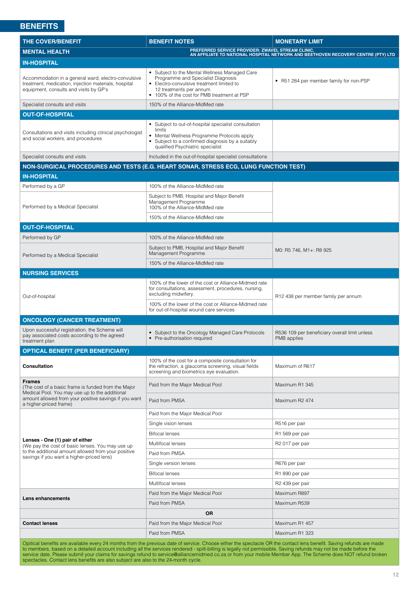<span id="page-11-0"></span>

| <b>THE COVER/BENEFIT</b>                                                                                                                              | <b>BENEFIT NOTES</b>                                                                                                                                                                                       | <b>MONETARY LIMIT</b>                                                                                                                  |
|-------------------------------------------------------------------------------------------------------------------------------------------------------|------------------------------------------------------------------------------------------------------------------------------------------------------------------------------------------------------------|----------------------------------------------------------------------------------------------------------------------------------------|
| <b>MENTAL HEALTH</b>                                                                                                                                  |                                                                                                                                                                                                            | PREFERRED SERVICE PROVIDER: ZWAVEL STREAM CLINIC,<br>AN AFFILIATE TO NATIONAL HOSPITAL NETWORK AND BEETHOVEN RECOVERY CENTRE (PTY) LTD |
| <b>IN-HOSPITAL</b>                                                                                                                                    |                                                                                                                                                                                                            |                                                                                                                                        |
| Accommodation in a general ward, electro-convulsive<br>treatment, medication, injection materials, hospital<br>equipment, consults and visits by GP's | • Subject to the Mental Wellness Managed Care<br>Programme and Specialist Diagnosis<br>• Electro-convulsive treatment limited to<br>12 treatments per annum<br>• 100% of the cost for PMB treatment at PSP | • R51 284 per member family for non-PSP                                                                                                |
| Specialist consults and visits                                                                                                                        | 150% of the Alliance-MidMed rate                                                                                                                                                                           |                                                                                                                                        |
| <b>OUT-OF-HOSPITAL</b>                                                                                                                                |                                                                                                                                                                                                            |                                                                                                                                        |
| Consultations and visits including clinical psychologist<br>and social workers, and procedures                                                        | • Subject to out-of-hospital specialist consultation<br>limits<br>• Mental Wellness Programme Protocols apply<br>• Subject to a confirmed diagnosis by a suitably<br>qualified Psychiatric specialist      |                                                                                                                                        |
| Specialist consults and visits                                                                                                                        | Included in the out-of-hospital specialist consultations                                                                                                                                                   |                                                                                                                                        |
|                                                                                                                                                       | NON-SURGICAL PROCEDURES AND TESTS (E.G. HEART SONAR, STRESS ECG, LUNG FUNCTION TEST)                                                                                                                       |                                                                                                                                        |
| <b>IN-HOSPITAL</b>                                                                                                                                    |                                                                                                                                                                                                            |                                                                                                                                        |
| Performed by a GP                                                                                                                                     | 100% of the Alliance-MidMed rate                                                                                                                                                                           |                                                                                                                                        |
| Performed by a Medical Specialist                                                                                                                     | Subject to PMB, Hospital and Major Benefit<br>Management Programme<br>100% of the Alliance-MidMed rate                                                                                                     |                                                                                                                                        |
|                                                                                                                                                       | 150% of the Alliance-MidMed rate                                                                                                                                                                           |                                                                                                                                        |
| <b>OUT-OF-HOSPITAL</b>                                                                                                                                |                                                                                                                                                                                                            |                                                                                                                                        |
| Performed by GP                                                                                                                                       | 100% of the Alliance-MidMed rate                                                                                                                                                                           |                                                                                                                                        |
| Performed by a Medical Specialist                                                                                                                     | Subject to PMB, Hospital and Major Benefit<br>Management Programme                                                                                                                                         | M0: R5 746, M1+: R8 925                                                                                                                |
|                                                                                                                                                       | 150% of the Alliance-MidMed rate                                                                                                                                                                           |                                                                                                                                        |
| <b>NURSING SERVICES</b>                                                                                                                               |                                                                                                                                                                                                            |                                                                                                                                        |
| Out-of-hospital                                                                                                                                       | 100% of the lower of the cost or Alliance-Midmed rate<br>for consultations, assessment, procedures, nursing,<br>excluding midwifery.                                                                       | R12 438 per member family per annum                                                                                                    |
|                                                                                                                                                       | 100% of the lower of the cost or Alliance-Midmed rate<br>for out-of-hospital wound care services                                                                                                           |                                                                                                                                        |
| <b>ONCOLOGY (CANCER TREATMENT)</b>                                                                                                                    |                                                                                                                                                                                                            |                                                                                                                                        |
| Upon successful registration, the Scheme will<br>pay associated costs according to the agreed<br>treatment plan                                       | • Subject to the Oncology Managed Care Protocols<br>• Pre-authorisation required                                                                                                                           | R536 109 per beneficiary overall limit unless<br>PMB applies                                                                           |
| <b>OPTICAL BENEFIT (PER BENEFICIARY)</b>                                                                                                              |                                                                                                                                                                                                            |                                                                                                                                        |
| Consultation                                                                                                                                          | 100% of the cost for a composite consultation for<br>the refraction, a glaucoma screening, visual fields<br>screening and biometrics eye evaluation.                                                       | Maximum of R617                                                                                                                        |
| <b>Frames</b><br>(The cost of a basic frame is funded from the Major<br>Medical Pool. You may use up to the additional                                | Paid from the Major Medical Pool                                                                                                                                                                           | Maximum R1 345                                                                                                                         |
| amount allowed from your positive savings if you want<br>a higher-priced frame)                                                                       | Paid from PMSA                                                                                                                                                                                             | Maximum R2 474                                                                                                                         |
|                                                                                                                                                       | Paid from the Major Medical Pool                                                                                                                                                                           |                                                                                                                                        |
|                                                                                                                                                       | Single vision lenses                                                                                                                                                                                       | R516 per pair                                                                                                                          |
|                                                                                                                                                       | <b>Bifocal lenses</b>                                                                                                                                                                                      | R1 569 per pair                                                                                                                        |
| Lenses - One (1) pair of either<br>(We pay the cost of basic lenses. You may use up                                                                   | Multifocal lenses                                                                                                                                                                                          | R <sub>2</sub> 017 per pair                                                                                                            |
| to the additional amount allowed from your positive<br>savings if you want a higher-priced lens)                                                      | Paid from PMSA                                                                                                                                                                                             |                                                                                                                                        |
|                                                                                                                                                       | Single version lenses                                                                                                                                                                                      | R676 per pair                                                                                                                          |
|                                                                                                                                                       | <b>Bifocal lenses</b>                                                                                                                                                                                      | R1 890 per pair                                                                                                                        |
|                                                                                                                                                       | Multifocal lenses                                                                                                                                                                                          | R <sub>2</sub> 439 per pair                                                                                                            |
|                                                                                                                                                       | Paid from the Major Medical Pool                                                                                                                                                                           | Maximum R897                                                                                                                           |
| Lens enhancements                                                                                                                                     | Paid from PMSA                                                                                                                                                                                             | Maximum R539                                                                                                                           |
|                                                                                                                                                       | <b>OR</b>                                                                                                                                                                                                  |                                                                                                                                        |
| <b>Contact lenses</b>                                                                                                                                 | Paid from the Major Medical Pool                                                                                                                                                                           | Maximum R1 457                                                                                                                         |
|                                                                                                                                                       | Paid from PMSA                                                                                                                                                                                             | Maximum R1 323                                                                                                                         |
|                                                                                                                                                       | Opitical benefits are available every 24 months from the previous date of service. Choose either the spectacle OR the contact lens benefit. Saving refunds are made                                        |                                                                                                                                        |

Opitical benefits are available every 24 months from the previous date of service. Choose either the spectacle OR the contact lens benefit. Saving refunds are made to members, based on a detailed account including all the services rendered - spilt-billing is legally not permissible. Saving refunds may not be made before the service date. Please submit your claims for savings refund t[o service@alliancemidmed.co.za o](mailto:service%40alliancemidmed.co.za?subject=)r from your mobile Member App. The Scheme does NOT refund broken spectacles. Contact lens benefits are also subject are also to the 24-month cycle.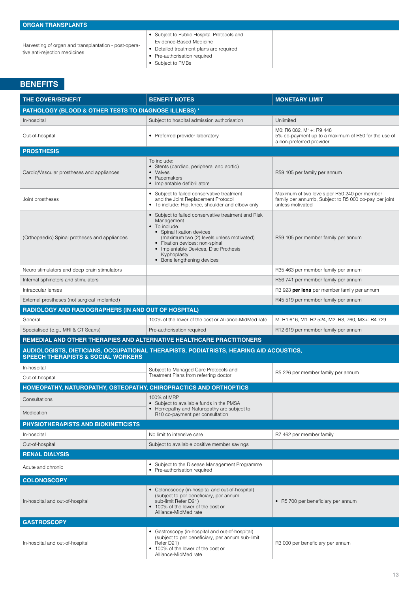| <b>ORGAN TRANSPLANTS</b>                                                               |                                                                                                                                                                       |
|----------------------------------------------------------------------------------------|-----------------------------------------------------------------------------------------------------------------------------------------------------------------------|
| Harvesting of organ and transplantation - post-opera-<br>tive anti-rejection medicines | • Subject to Public Hospital Protocols and<br>Evidence-Based Medicine<br>• Detailed treatment plans are required<br>• Pre-authorisation required<br>• Subject to PMBs |

| <b>THE COVER/BENEFIT</b>                                              | <b>BENEFIT NOTES</b>                                                                                                                                                                                                                                                                  | <b>MONETARY LIMIT</b>                                                                                                     |  |
|-----------------------------------------------------------------------|---------------------------------------------------------------------------------------------------------------------------------------------------------------------------------------------------------------------------------------------------------------------------------------|---------------------------------------------------------------------------------------------------------------------------|--|
| PATHOLOGY (BLOOD & OTHER TESTS TO DIAGNOSE ILLNESS) *                 |                                                                                                                                                                                                                                                                                       |                                                                                                                           |  |
| In-hospital                                                           | Subject to hospital admission authorisation                                                                                                                                                                                                                                           | Unlimited                                                                                                                 |  |
| Out-of-hospital                                                       | • Preferred provider laboratory                                                                                                                                                                                                                                                       | M0: R6 082, M1+: R9 448<br>5% co-payment up to a maximum of R50 for the use of<br>a non-preferred provider                |  |
| <b>PROSTHESIS</b>                                                     |                                                                                                                                                                                                                                                                                       |                                                                                                                           |  |
| Cardio/Vascular prostheses and appliances                             | To include:<br>• Stents (cardiac, peripheral and aortic)<br>• Valves<br>• Pacemakers<br>• Implantable defibrillators                                                                                                                                                                  | R59 105 per family per annum                                                                                              |  |
| Joint prostheses                                                      | • Subject to failed conservative treatment<br>and the Joint Replacement Protocol<br>• To include: Hip, knee, shoulder and elbow only                                                                                                                                                  | Maximum of two levels per R50 240 per member<br>family per annumb, Subject to R5 000 co-pay per joint<br>unless motivated |  |
| (Orthopaedic) Spinal protheses and appliances                         | • Subject to failed conservative treatment and Risk<br>Management<br>• To include:<br>• Spinal fixation devices<br>(maximum two (2) levels unless motivated)<br>• Fixation devices: non-spinal<br>• Implantable Devices, Disc Prothesis,<br>Kyphoplasty<br>• Bone lengthening devices | R59 105 per member family per annum                                                                                       |  |
| Neuro stimulators and deep brain stimulators                          |                                                                                                                                                                                                                                                                                       | R35 463 per member family per annum                                                                                       |  |
| Internal sphincters and stimulators                                   |                                                                                                                                                                                                                                                                                       | R56 741 per member family per annum                                                                                       |  |
| Intraocular lenses                                                    |                                                                                                                                                                                                                                                                                       | R3 923 per lens per member family per annum                                                                               |  |
| External prostheses (not surgical implanted)                          |                                                                                                                                                                                                                                                                                       | R45 519 per member family per annum                                                                                       |  |
| <b>RADIOLOGY AND RADIOGRAPHERS (IN AND OUT OF HOSPITAL)</b>           |                                                                                                                                                                                                                                                                                       |                                                                                                                           |  |
| General                                                               | 100% of the lower of the cost or Alliance-MidMed rate                                                                                                                                                                                                                                 | M: R1 616, M1: R2 524, M2: R3, 760, M3+: R4 729                                                                           |  |
| Specialised (e.g., MRI & CT Scans)                                    | Pre-authorisation required                                                                                                                                                                                                                                                            | R12 619 per member family per annum                                                                                       |  |
| REMEDIAL AND OTHER THERAPIES AND ALTERNATIVE HEALTHCARE PRACTITIONERS |                                                                                                                                                                                                                                                                                       |                                                                                                                           |  |
| <b>SPEECH THERAPISTS &amp; SOCIAL WORKERS</b>                         | AUDIOLOGISTS, DIETICIANS, OCCUPATIONAL THERAPISTS, PODIATRISTS, HEARING AID ACOUSTICS,                                                                                                                                                                                                |                                                                                                                           |  |
| In-hospital                                                           | Subject to Managed Care Protocols and                                                                                                                                                                                                                                                 | R5 226 per member family per annum                                                                                        |  |
| Out-of-hospital                                                       | Treatment Plans from referring doctor                                                                                                                                                                                                                                                 |                                                                                                                           |  |
| HOMEOPATHY, NATUROPATHY, OSTEOPATHY, CHIROPRACTICS AND ORTHOPTICS     |                                                                                                                                                                                                                                                                                       |                                                                                                                           |  |
| Consultations<br>Medication                                           | 100% of MRP<br>• Subject to available funds in the PMSA<br>• Homepathy and Naturopathy are subject to<br>R <sub>10</sub> co-payment per consultation                                                                                                                                  |                                                                                                                           |  |
| PHYSIOTHERAPISTS AND BIOKINETICISTS                                   |                                                                                                                                                                                                                                                                                       |                                                                                                                           |  |
| In-hospital                                                           | No limit to intensive care                                                                                                                                                                                                                                                            | R7 462 per member family                                                                                                  |  |
| Out-of-hospital                                                       | Subject to available positive member savings                                                                                                                                                                                                                                          |                                                                                                                           |  |
| <b>RENAL DIALYSIS</b>                                                 |                                                                                                                                                                                                                                                                                       |                                                                                                                           |  |
| Acute and chronic                                                     | Subject to the Disease Management Programme<br>• Pre-authorisation required                                                                                                                                                                                                           |                                                                                                                           |  |
| <b>COLONOSCOPY</b>                                                    |                                                                                                                                                                                                                                                                                       |                                                                                                                           |  |
| In-hospital and out-of-hospital                                       | • Colonoscopy (in-hospital and out-of-hospital)<br>(subject to per beneficiary, per annum<br>sub-limit Refer D21)<br>• 100% of the lower of the cost or<br>Alliance-MidMed rate                                                                                                       | • R5 700 per beneficiary per annum                                                                                        |  |
| <b>GASTROSCOPY</b>                                                    |                                                                                                                                                                                                                                                                                       |                                                                                                                           |  |
| In-hospital and out-of-hospital                                       | • Gastroscopy (in-hospital and out-of-hospital)<br>(subject to per beneficiary, per annum sub-limit<br>Refer D21)<br>• 100% of the lower of the cost or<br>Alliance-MidMed rate                                                                                                       | R3 000 per beneficiary per annum                                                                                          |  |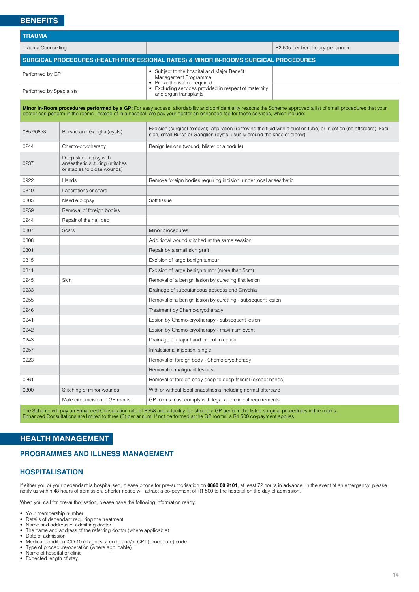<span id="page-13-0"></span>

| <b>TRAUMA</b>             |                                                                                        |                                                                                                                                                                                                                                                                                                     |                                  |  |
|---------------------------|----------------------------------------------------------------------------------------|-----------------------------------------------------------------------------------------------------------------------------------------------------------------------------------------------------------------------------------------------------------------------------------------------------|----------------------------------|--|
| <b>Trauma Counselling</b> |                                                                                        |                                                                                                                                                                                                                                                                                                     | R2 605 per beneficiary per annum |  |
|                           |                                                                                        | SURGICAL PROCEDURES (HEALTH PROFESSIONAL RATES) & MINOR IN-ROOMS SURGICAL PROCEDURES                                                                                                                                                                                                                |                                  |  |
| Performed by GP           |                                                                                        | • Subject to the hospital and Major Benefit<br>Management Programme<br>• Pre-authorisation required                                                                                                                                                                                                 |                                  |  |
| Performed by Specialists  |                                                                                        | • Excluding services provided in respect of maternity<br>and organ transplants                                                                                                                                                                                                                      |                                  |  |
|                           |                                                                                        | Minor In-Room procedures performed by a GP: For easy access, affordability and confidentiality reasons the Scheme approved a list of small procedures that your<br>doctor can perform in the rooms, instead of in a hospital. We pay your doctor an enhanced fee for these services, which include: |                                  |  |
| 0857/0853                 | Bursae and Ganglia (cysts)                                                             | Excision (surgical removal), aspiration (removing the fluid with a suction tube) or injection (no aftercare). Exci-<br>sion, small Bursa or Ganglion (cysts, usually around the knee or elbow)                                                                                                      |                                  |  |
| 0244                      | Chemo-cryotherapy                                                                      | Benign lesions (wound, blister or a nodule)                                                                                                                                                                                                                                                         |                                  |  |
| 0237                      | Deep skin biopsy with<br>anaesthetic suturing (stitches<br>or staples to close wounds) |                                                                                                                                                                                                                                                                                                     |                                  |  |
| 0922                      | Hands                                                                                  | Remove foreign bodies requiring incision, under local anaesthetic                                                                                                                                                                                                                                   |                                  |  |
| 0310                      | Lacerations or scars                                                                   |                                                                                                                                                                                                                                                                                                     |                                  |  |
| 0305                      | Needle biopsy                                                                          | Soft tissue                                                                                                                                                                                                                                                                                         |                                  |  |
| 0259                      | Removal of foreign bodies                                                              |                                                                                                                                                                                                                                                                                                     |                                  |  |
| 0244                      | Repair of the nail bed                                                                 |                                                                                                                                                                                                                                                                                                     |                                  |  |
| 0307                      | Scars                                                                                  | Minor procedures                                                                                                                                                                                                                                                                                    |                                  |  |
| 0308                      |                                                                                        | Additional wound stitched at the same session                                                                                                                                                                                                                                                       |                                  |  |
| 0301                      |                                                                                        | Repair by a small skin graft                                                                                                                                                                                                                                                                        |                                  |  |
| 0315                      |                                                                                        | Excision of large benign tumour                                                                                                                                                                                                                                                                     |                                  |  |
| 0311                      |                                                                                        | Excision of large benign tumor (more than 5cm)                                                                                                                                                                                                                                                      |                                  |  |
| 0245                      | Skin                                                                                   | Removal of a benign lesion by curetting first lesion                                                                                                                                                                                                                                                |                                  |  |
| 0233                      |                                                                                        | Drainage of subcutaneous abscess and Onychia                                                                                                                                                                                                                                                        |                                  |  |
| 0255                      |                                                                                        | Removal of a benign lesion by curetting - subsequent lesion                                                                                                                                                                                                                                         |                                  |  |
| 0246                      |                                                                                        | Treatment by Chemo-cryotherapy                                                                                                                                                                                                                                                                      |                                  |  |
| 0241                      |                                                                                        | Lesion by Chemo-cryotherapy - subsequent lesion                                                                                                                                                                                                                                                     |                                  |  |
| 0242                      |                                                                                        | Lesion by Chemo-cryotherapy - maximum event                                                                                                                                                                                                                                                         |                                  |  |
| 0243                      |                                                                                        | Drainage of major hand or foot infection                                                                                                                                                                                                                                                            |                                  |  |
| 0257                      |                                                                                        | Intralesional injection, single                                                                                                                                                                                                                                                                     |                                  |  |
| 0223                      |                                                                                        | Removal of foreign body - Chemo-cryotherapy                                                                                                                                                                                                                                                         |                                  |  |
|                           |                                                                                        | Removal of malignant lesions                                                                                                                                                                                                                                                                        |                                  |  |
| 0261                      |                                                                                        | Removal of foreign body deep to deep fascial (except hands)                                                                                                                                                                                                                                         |                                  |  |
| 0300                      | Stitching of minor wounds                                                              | With or without local anaesthesia including normal aftercare                                                                                                                                                                                                                                        |                                  |  |
|                           | Male circumcision in GP rooms                                                          | GP rooms must comply with legal and clinical requirements                                                                                                                                                                                                                                           |                                  |  |

The Scheme will pay an Enhanced Consultation rate of R558 and a facility fee should a GP perform the listed surgical procedures in the rooms. Enhanced Consultations are limited to three (3) per annum. If not performed at the GP rooms, a R1 500 co-payment applies.

# **HEALTH MANAGEMENT**

# **PROGRAMMES AND ILLNESS MANAGEMENT**

#### **HOSPITALISATION**

If either you or your dependant is hospitalised, please phone for pre-authorisation on **0860 00 2101**, at least 72 hours in advance. In the event of an emergency, please notify us within 48 hours of admission. Shorter notice will attract a co-payment of R1 500 to the hospital on the day of admission.

When you call for pre-authorisation, please have the following information ready:

- Your membership number<br>• Details of dependant requ
- Details of dependant requiring the treatment<br>• Name and address of admitting doctor
- Name and address of admitting doctor<br>• The name and address of the referring
- The name and address of the referring doctor (where applicable)
- Date of admission<br>• Medical condition
- Medical condition ICD 10 (diagnosis) code and/or CPT (procedure) code
- Type of procedure/operation (where applicable)
- Name of hospital or clinic • Expected length of stay
-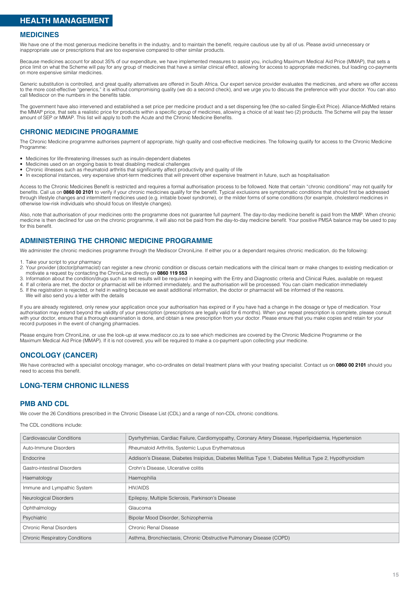# **HEALTH MANAGEMENT**

#### **MEDICINES**

We have one of the most generous medicine benefits in the industry, and to maintain the benefit, require cautious use by all of us. Please avoid unnecessary or inappropriate use or prescriptions that are too expensive compared to other similar products.

Because medicines account for about 35% of our expenditure, we have implemented measures to assist you, including Maximum Medical Aid Price (MMAP), that sets a price limit on what the Scheme will pay for any group of medicines that have a similar clinical effect, allowing for access to appropriate medicines, but loading co-payments on more expensive similar medicines.

Generic substitution is controlled, and great quality alternatives are offered in South Africa. Our expert service provider evaluates the medicines, and where we offer access to the more cost-effective "generics," it is without compromising quality (we do a second check), and we urge you to discuss the preference with your doctor. You can also call Mediscor on the numbers in the benefits table.

The government have also intervened and established a set price per medicine product and a set dispensing fee (the so-called Single-Exit Price). Alliance-MidMed retains the MMAP price, that sets a realistic price for products within a specific group of medicines, allowing a choice of at least two (2) products. The Scheme will pay the lesser amount of SEP or MMAP. This list will apply to both the Acute and the Chronic Medicine Benefits.

#### **CHRONIC MEDICINE PROGRAMME**

The Chronic Medicine programme authorises payment of appropriate, high quality and cost-effective medicines. The following qualify for access to the Chronic Medicine Programme:

- Medicines for life-threatening illnesses such as insulin-dependent diabetes
- Medicines used on an ongoing basis to treat disabling medical challenges
- Chronic illnesses such as rheumatoid arthritis that significantly affect productivity and quality of life in exceptional instances very expensive short-term medicines that will prevent other expensive trees. • In exceptional instances, very expensive short-term medicines that will prevent other expensive treatment in future, such as hospitalisation

Access to the Chronic Medicines Benefit is restricted and requires a formal authorisation process to be followed. Note that certain "chronic conditions" may not qualify for benefits. Call us on **0860 00 2101** to verify if your chronic medicines qualify for the benefit. Typical exclusions are symptomatic conditions that should first be addressed through lifestyle changes and intermittent medicines used (e.g. irritable bowel syndrome), or the milder forms of some conditions (for example, cholesterol medicines in otherwise low-risk individuals who should focus on lifestyle changes).

Also, note that authorisation of your medicines onto the programme does not guarantee full payment. The day-to-day medicine benefit is paid from the MMP. When chronic medicine is then declined for use on the chronic programme, it will also not be paid from the day-to-day medicine benefit. Your positive PMSA balance may be used to pay for this benefit.

#### **ADMINISTERING THE CHRONIC MEDICINE PROGRAMME**

We administer the chronic medicines programme through the Mediscor ChroniLine. If either you or a dependant requires chronic medication, do the following:

- 1. Take your script to your pharmacy
- 2. Your provider (doctor/pharmacist) can register a new chronic condition or discuss certain medications with the clinical team or make changes to existing medication or motivate a request by contacting the ChroniLine directly on **0860 119 553**
- 3. Information about the condition/drugs such as test results will be required in keeping with the Entry and Diagnostic criteria and Clinical Rules, available on request
- 4. If all criteria are met, the doctor or pharmacist will be informed immediately, and the authorisation will be processed. You can claim medication immediately
- 5. If the registration is rejected, or held in waiting because we await additional information, the doctor or pharmacist will be informed of the reasons.
- We will also send you a letter with the details

If you are already registered, only renew your application once your authorisation has expired or if you have had a change in the dosage or type of medication. Your authorisation may extend beyond the validity of your prescription (prescriptions are legally valid for 6 months). When your repeat prescription is complete, please consult with your doctor, ensure that a thorough examination is done, and obtain a new prescription from your doctor. Please ensure that you make copies and retain for your record purposes in the event of changing pharmacies.

Please enquire from ChroniLine, or use the look-up at www.mediscor.co.za to see which medicines are covered by the Chronic Medicine Programme or the Maximum Medical Aid Price (MMAP). If it is not covered, you will be required to make a co-payment upon collecting your medicine.

#### **ONCOLOGY (CANCER)**

We have contracted with a specialist oncology manager, who co-ordinates on detail treatment plans with your treating specialist. Contact us on **0860 00 2101** should you need to access this benefit.

#### **LONG-TERM CHRONIC ILLNESS**

#### **PMB AND CDL**

We cover the 26 Conditions prescribed in the Chronic Disease List (CDL) and a range of non-CDL chronic conditions.

The CDL conditions include:

| Cardiovascular Conditions             | Dysrhythmias, Cardiac Failure, Cardiomyopathy, Coronary Artery Disease, Hyperlipidaemia, Hypertension     |
|---------------------------------------|-----------------------------------------------------------------------------------------------------------|
| Auto-Immune Disorders                 | Rheumatoid Arthritis, Systemic Lupus Erythematosus                                                        |
| Endocrine                             | Addison's Disease, Diabetes Insipidus, Diabetes Mellitus Type 1, Diabetes Mellitus Type 2, Hypothyroidism |
| Gastro-intestinal Disorders           | Crohn's Disease, Ulcerative colitis                                                                       |
| Haematology                           | Haemophilia                                                                                               |
| Immune and Lympathic System           | <b>HIV/AIDS</b>                                                                                           |
| Neurological Disorders                | Epilepsy, Multiple Sclerosis, Parkinson's Disease                                                         |
| Ophthalmology                         | Glaucoma                                                                                                  |
| Psychiatric                           | Bipolar Mood Disorder, Schizophernia                                                                      |
| <b>Chronic Renal Disorders</b>        | <b>Chronic Renal Disease</b>                                                                              |
| <b>Chronic Respiratory Conditions</b> | Asthma, Bronchiectasis, Chronic Obstructive Pulmonary Disease (COPD)                                      |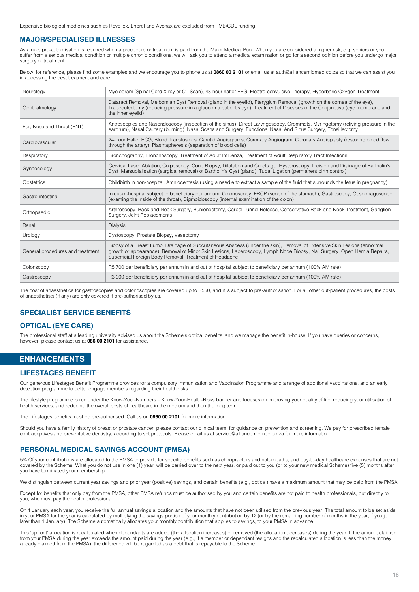<span id="page-15-0"></span>Expensive biological medicines such as Revellex, Enbrel and Avonax are excluded from PMB/CDL funding.

#### **MAJOR/SPECIALISED ILLNESSES**

As a rule, pre-authorisation is required when a procedure or treatment is paid from the Major Medical Pool. When you are considered a higher risk, e.g. seniors or you suffer from a serious medical condition or multiple chronic conditions, we will ask you to attend a medical examination or go for a second opinion before you undergo major surgery or treatment.

Below, for reference, please find some examples and we encourage you to phone us at **0860 00 2101** or email us a[t auth@alliancemidmed.co.za so](mailto:auth%40alliancemidmed.co.za?subject=) that we can assist you in accessing the best treatment and care:

| Neurology                        | Myelogram (Spinal Cord X-ray or CT Scan), 48-hour halter EEG, Electro-convulsive Therapy, Hyperbaric Oxygen Treatment                                                                                                                                                                                          |
|----------------------------------|----------------------------------------------------------------------------------------------------------------------------------------------------------------------------------------------------------------------------------------------------------------------------------------------------------------|
| Ophthalmology                    | Cataract Removal, Meibomian Cyst Removal (gland in the eyelid), Pterygium Removal (growth on the cornea of the eye),<br>Trabeculectomy (reducing pressure in a glaucoma patient's eye). Treatment of Diseases of the Conjunctiva (eye membrane and<br>the inner eyelid)                                        |
| Ear, Nose and Throat (ENT)       | Antroscopies and Nasendoscopy (inspection of the sinus), Direct Laryngoscopy, Grommets, Myringotomy (reliving pressure in the<br>eardrum), Nasal Cautery (burning), Nasal Scans and Surgery, Functional Nasal And Sinus Surgery, Tonsillectomy                                                                 |
| Cardiovascular                   | 24-hour Halter ECG, Blood Transfusions, Carotid Angiograms, Coronary Angiogram, Coronary Angioplasty (restoring blood flow<br>through the artery), Plasmapheresis (separation of blood cells)                                                                                                                  |
| Respiratory                      | Bronchography, Bronchoscopy, Treatment of Adult Influenza, Treatment of Adult Respiratory Tract Infections                                                                                                                                                                                                     |
| Gynaecology                      | Cervical Laser Ablation, Colposcopy, Cone Biopsy, Dilatation and Curettage, Hysteroscopy, Incision and Drainage of Bartholin's<br>Cyst, Marsupialisation (surgical removal) of Bartholin's Cyst (gland), Tubal Ligation (permanent birth control)                                                              |
| Obstetrics                       | Childbirth in non-hospital, Amniocentesis (using a needle to extract a sample of the fluid that surrounds the fetus in pregnancy)                                                                                                                                                                              |
| Gastro-intestinal                | In out-of-hospital subject to beneficiary per annum. Colonoscopy, ERCP (scope of the stomach), Gastroscopy, Oesophagoscope<br>(examing the inside of the throat), Sigmoidoscopy (internal examination of the colon)                                                                                            |
| Orthopaedic                      | Arthroscopy, Back and Neck Surgery, Bunionectomy, Carpal Tunnel Release, Conservative Back and Neck Treatment, Ganglion<br>Surgery, Joint Replacements                                                                                                                                                         |
| Renal                            | <b>Dialysis</b>                                                                                                                                                                                                                                                                                                |
| Urology                          | Cystoscopy, Prostate Biopsy, Vasectomy                                                                                                                                                                                                                                                                         |
| General procedures and treatment | Biopsy of a Breast Lump, Drainage of Subcutaneous Abscess (under the skin), Removal of Extensive Skin Lesions (abnormal<br>growth or appearance), Removal of Minor Skin Lesions, Laparoscopy, Lymph Node Biopsy, Nail Surgery, Open Hernia Repairs,<br>Superficial Foreign Body Removal, Treatment of Headache |
| Colonscopy                       | R5 700 per beneficiary per annum in and out of hospital subject to beneficiary per annum (100% AM rate)                                                                                                                                                                                                        |
| Gastroscopy                      | R3 000 per beneficiary per annum in and out of hospital subject to beneficiary per annum (100% AM rate)                                                                                                                                                                                                        |

The cost of anaesthetics for gastroscopies and colonoscopies are covered up to R550, and it is subject to pre-authorisation. For all other out-patient procedures, the costs of anaesthetists (if any) are only covered if pre-authorised by us.

#### **SPECIALIST SERVICE BENEFITS**

#### **OPTICAL (EYE CARE)**

The professional staff at a leading university advised us about the Scheme's optical benefits, and we manage the benefit in-house. If you have queries or concerns, however, please contact us at **086 00 2101** for assistance.

#### **ENHANCEMENTS**

#### **LIFESTAGES BENEFIT**

Our generous Lifestages Benefit Programme provides for a compulsory Immunisation and Vaccination Programme and a range of additional vaccinations, and an early detection programme to better engage members regarding their health risks.

The lifestyle programme is run under the Know-Your-Numbers – Know-Your-Health-Risks banner and focuses on improving your quality of life, reducing your utilisation of health services, and reducing the overall costs of healthcare in the medium and then the long term.

The Lifestages benefits must be pre-authorised. Call us on **0860 00 2101** for more information.

Should you have a family history of breast or prostate cancer, please contact our clinical team, for guidance on prevention and screening. We pay for prescribed female contraceptives and preventative dentistry, according to set protocols. Please email us a[t service@alliancemidmed.co.za f](mailto:service%40alliancemidmed.co.za?subject=)or more information.

#### **PERSONAL MEDICAL SAVINGS ACCOUNT (PMSA)**

5% Of your contributions are allocated to the PMSA to provide for specific benefits such as chiropractors and naturopaths, and day-to-day healthcare expenses that are not covered by the Scheme. What you do not use in one (1) year, will be carried over to the next year, or paid out to you (or to your new medical Scheme) five (5) months after you have terminated your membership.

We distinguish between current year savings and prior year (positive) savings, and certain benefits (e.g., optical) have a maximum amount that may be paid from the PMSA.

Except for benefits that only pay from the PMSA, other PMSA refunds must be authorised by you and certain benefits are not paid to health professionals, but directly to you, who must pay the health professional.

On 1 January each year, you receive the full annual savings allocation and the amounts that have not been utilised from the previous year. The total amount to be set aside in your PMSA for the year is calculated by multiplying the savings portion of your monthly contribution by 12 (or by the remaining number of months in the year, if you join later than 1 January). The Scheme automatically allocates your monthly contribution that applies to savings, to your PMSA in advance.

This 'upfront' allocation is recalculated when dependants are added (the allocation increases) or removed (the allocation decreases) during the year. If the amount claimed from your PMSA during the year exceeds the amount paid during the year (e.g., if a member or dependant resigns and the recalculated allocation is less than the money already claimed from the PMSA), the difference will be regarded as a debt that is repayable to the Scheme.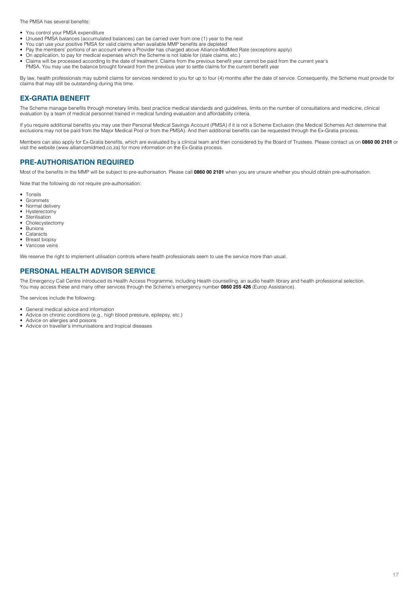The PMSA has several benefits:

- You control your PMSA expenditure
- Unused PMSA balances (accumulated balances) can be carried over from one (1) year to the next
- You can use your positive PMSA for valid claims when available MMP benefits are depleted • Pay the members' portions of an account where a Provider has charged above Alliance-MidMed Rate (exceptions apply)
- On application, to pay for medical expenses which the Scheme is not liable for (stale claims, etc.)
- Claims will be processed according to the date of treatment. Claims from the previous benefit year cannot be paid from the current year's
- PMSA. You may use the balance brought forward from the previous year to settle claims for the current benefit year

By law, health professionals may submit claims for services rendered to you for up to four (4) months after the date of service. Consequently, the Scheme must provide for claims that may still be outstanding during this time.

#### **EX-GRATIA BENEFIT**

The Scheme manage benefits through monetary limits, best practice medical standards and guidelines, limits on the number of consultations and medicine, clinical evaluation by a team of medical personnel trained in medical funding evaluation and affordability criteria.

If you require additional benefits you may use their Personal Medical Savings Account (PMSA) if it is not a Scheme Exclusion (the Medical Schemes Act determine that exclusions may not be paid from the Major Medical Pool or from the PMSA). And then additional benefits can be requested through the Ex-Gratia process.

Members can also apply for Ex-Gratia benefits, which are evaluated by a clinical team and then considered by the Board of Trustees. Please contact us on **0860 00 2101** or visit the website (www.alliancemidmed.co.za) for more information on the Ex-Gratia process.

#### **PRE-AUTHORISATION REQUIRED**

Most of the benefits in the MMP will be subject to pre-authorisation. Please call **0860 00 2101** when you are unsure whether you should obtain pre-authorisation.

Note that the following do not require pre-authorisation:

- Tonsils
- **Grommets**
- Normal delivery • Hysterectomy
- **Sterilisation**
- Cholecystectomy<br>• Bunions
- Bunions
- **Cataracts**
- **Breast biopsy**
- Varicose veins

We reserve the right to implement utilisation controls where health professionals seem to use the service more than usual.

#### **PERSONAL HEALTH ADVISOR SERVICE**

The Emergency Call Centre introduced its Health Access Programme, including Health counselling, an audio health library and health professional selection. You may access these and many other services through the Scheme's emergency number **0860 255 426** (Europ Assistance).

The services include the following:

- General medical advice and information
- Advice on chronic conditions (e.g., high blood pressure, epilepsy, etc.)
- Advice on allergies and poisons
- Advice on traveller's immunisations and tropical diseases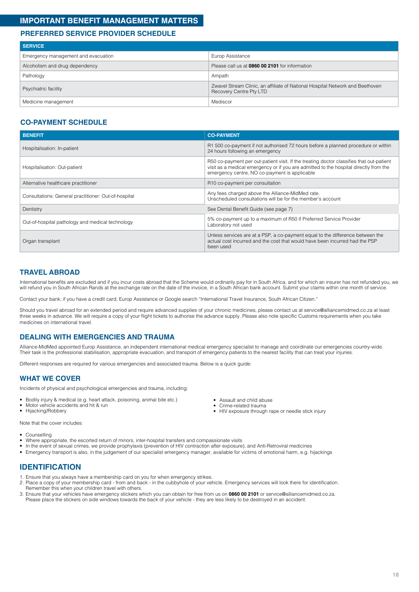# <span id="page-17-0"></span>**IMPORTANT BENEFIT MANAGEMENT MATTERS**

## **PREFERRED SERVICE PROVIDER SCHEDULE**

| <b>SERVICE</b>                      |                                                                                                          |  |  |
|-------------------------------------|----------------------------------------------------------------------------------------------------------|--|--|
| Emergency management and evacuation | Europ Assistance                                                                                         |  |  |
| Alcoholism and drug dependency      | Please call us at 0860 00 2101 for information                                                           |  |  |
| Pathology                           | Ampath                                                                                                   |  |  |
| Psychiatric facility                | Zwavel Stream Clinic, an affiliate of National Hospital Network and Beethoven<br>Recovery Centre Pty LTD |  |  |
| Medicine management                 | Mediscor                                                                                                 |  |  |

## **CO-PAYMENT SCHEDULE**

| <b>BENEFIT</b>                                       | <b>CO-PAYMENT</b>                                                                                                                                                                                                                  |  |
|------------------------------------------------------|------------------------------------------------------------------------------------------------------------------------------------------------------------------------------------------------------------------------------------|--|
| Hospitalisation: In-patient                          | R1 500 co-payment if not authorised 72 hours before a planned procedure or within<br>24 hours following an emergency                                                                                                               |  |
| Hospitalisation: Out-patient                         | R50 co-payment per out-patient visit. If the treating doctor classifies that out-patient<br>visit as a medical emergency or if you are admitted to the hospital directly from the<br>emergency centre, NO co-payment is applicable |  |
| Alternative healthcare practitioner                  | R10 co-payment per consultation                                                                                                                                                                                                    |  |
| Consultations: General practitioner: Out-of-hospital | Any fees charged above the Alliance-MidMed rate.<br>Unscheduled consultations will be for the member's account                                                                                                                     |  |
| Dentistry                                            | See Dental Benefit Guide (see page 7)                                                                                                                                                                                              |  |
| Out-of-hospital pathology and medical technology     | 5% co-payment up to a maximum of R50 if Preferred Service Provider<br>Laboratory not used                                                                                                                                          |  |
| Organ transplant                                     | Unless services are at a PSP, a co-payment equal to the difference between the<br>actual cost incurred and the cost that would have been incurred had the PSP<br>been used                                                         |  |

## **TRAVEL ABROAD**

International benefits are excluded and if you incur costs abroad that the Scheme would ordinarily pay for in South Africa, and for which an insurer has not refunded you, we will refund you in South African Rands at the exchange rate on the date of the invoice, in a South African bank account. Submit your claims within one month of service.

Contact your bank, if you have a credit card, Europ Assistance or Google search "International Travel Insurance, South African Citizen."

Should you travel abroad for an extended period and require advanced supplies of your chronic medicines, please contact us a[t service@alliancemidmed.co.za a](mailto:service%40alliancemidmed.co.za?subject=)t least three weeks in advance. We will require a copy of your flight tickets to authorise the advance supply. Please also note specific Customs requirements when you take medicines on international travel.

#### **DEALING WITH EMERGENCIES AND TRAUMA**

Alliance-MidMed appointed Europ Assistance, an independent international medical emergency specialist to manage and coordinate our emergencies country-wide. Their task is the professional stabilisation, appropriate evacuation, and transport of emergency patients to the nearest facility that can treat your injuries.

Different responses are required for various emergencies and associated trauma. Below is a quick guide:

#### **WHAT WE COVER**

Incidents of physical and psychological emergencies and trauma, including:

- Bodily injury & medical (e.g. heart attack, poisoning, animal bite etc.)
- Motor vehicle accidents and hit & run
- Hijacking/Robbery

Note that the cover includes:

- Counselling
- Where appropriate, the escorted return of minors, inter-hospital transfers and compassionate visits
- In the event of sexual crimes, we provide prophylaxis (prevention of HIV contraction after exposure), and Anti-Retroviral medicines
- Emergency transport is also, in the judgement of our specialist emergency manager, available for victims of emotional harm, e.g. hijackings

#### **IDENTIFICATION**

- 1. Ensure that you always have a membership card on you for when emergency strikes.
- 2. Place a copy of your membership card from and back in the cubbyhole of your vehicle. Emergency services will look there for identification. Remember this when your children travel with others.
- 3. Ensure that your vehicles have emergency stickers which you can obtain for free from us on **0860 00 2101** o[r service@alliancemidmed.co.za.](mailto:service%40alliancemidmed.co.za?subject=)  Please place the stickers on side windows towards the back of your vehicle - they are less likely to be destroyed in an accident.
- Assault and child abuse • Crime-related trauma
- HIV exposure through rape or needle stick injury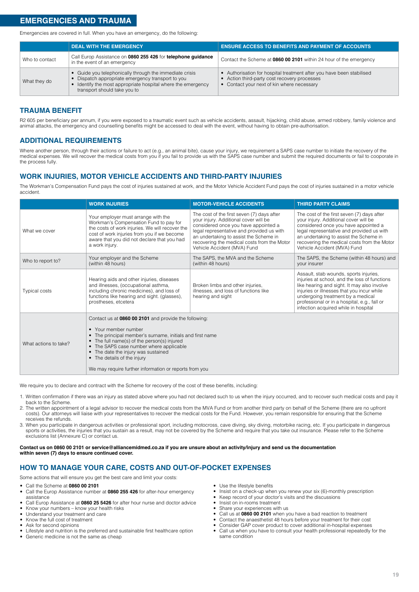<span id="page-18-0"></span>Emergencies are covered in full. When you have an emergency, do the following:

|                | <b>DEAL WITH THE EMERGENCY</b>                                                                                                                                                                               | <b>ENSURE ACCESS TO BENEFITS AND PAYMENT OF ACCOUNTS</b>                                                                                                            |
|----------------|--------------------------------------------------------------------------------------------------------------------------------------------------------------------------------------------------------------|---------------------------------------------------------------------------------------------------------------------------------------------------------------------|
| Who to contact | Call Europ Assistance on 0860 255 426 for telephone guidance<br>in the event of an emergency                                                                                                                 | Contact the Scheme at 0860 00 2101 within 24 hour of the emergency                                                                                                  |
| What they do   | • Guide you telephonically through the immediate crisis<br>• Dispatch appropriate emergency transport to you<br>• Identify the most appropriate hospital where the emergency<br>transport should take you to | • Authorisation for hospital treatment after you have been stabilised<br>• Action third-party cost recovery processes<br>• Contact your next of kin where necessary |

# **TRAUMA BENEFIT**

R2 605 per beneficiary per annum, if you were exposed to a traumatic event such as vehicle accidents, assault, hijacking, child abuse, armed robbery, family violence and animal attacks, the emergency and counselling benefits might be accessed to deal with the event, without having to obtain pre-authorisation.

# **ADDITIONAL REQUIREMENTS**

Where another person, through their actions or failure to act (e.g., an animal bite), cause your injury, we requirement a SAPS case number to initiate the recovery of the medical expenses. We will recover the medical costs from you if you fail to provide us with the SAPS case number and submit the required documents or fail to cooporate in the process fully.

# **WORK INJURIES, MOTOR VEHICLE ACCIDENTS AND THIRD-PARTY INJURIES**

The Workman's Compensation Fund pays the cost of injuries sustained at work, and the Motor Vehicle Accident Fund pays the cost of injuries sustained in a motor vehicle accident.

|                                                                        | <b>WORK INJURIES</b>                                                                                                                                                                                                                                                                                                                                                 | <b>MOTOR-VEHICLE ACCIDENTS</b>                                                                                                                                                                                                                                                                   | <b>THIRD PARTY CLAIMS</b>                                                                                                                                                                                                                                                                                         |
|------------------------------------------------------------------------|----------------------------------------------------------------------------------------------------------------------------------------------------------------------------------------------------------------------------------------------------------------------------------------------------------------------------------------------------------------------|--------------------------------------------------------------------------------------------------------------------------------------------------------------------------------------------------------------------------------------------------------------------------------------------------|-------------------------------------------------------------------------------------------------------------------------------------------------------------------------------------------------------------------------------------------------------------------------------------------------------------------|
| What we cover                                                          | Your employer must arrange with the<br>Workman's Compensation Fund to pay for<br>the costs of work injuries. We will recover the<br>cost of work injuries from you if we become<br>aware that you did not declare that you had<br>a work injury.                                                                                                                     | The cost of the first seven (7) days after<br>your injury. Additional cover will be<br>considered once you have appointed a<br>legal representative and provided us with<br>an undertaking to assist the Scheme in<br>recovering the medical costs from the Motor<br>Vehicle Accident (MVA) Fund | The cost of the first seven (7) days after<br>your injury. Additional cover will be<br>considered once you have appointed a<br>legal representative and provided us with<br>an undertaking to assist the Scheme in<br>recovering the medical costs from the Motor<br>Vehicle Accident (MVA) Fund                  |
| Your employer and the Scheme<br>Who to report to?<br>(within 48 hours) |                                                                                                                                                                                                                                                                                                                                                                      | The SAPS, the MVA and the Scheme<br>(within 48 hours)                                                                                                                                                                                                                                            | The SAPS, the Scheme (within 48 hours) and<br>vour insurer                                                                                                                                                                                                                                                        |
| <b>Typical costs</b>                                                   | Hearing aids and other injuries, diseases<br>and illnesses, (occupational asthma,<br>Broken limbs and other injuries,<br>including chronic medicines), and loss of<br>illnesses, and loss of functions like<br>functions like hearing and sight. (glasses),<br>hearing and sight<br>prostheses, etcetera                                                             |                                                                                                                                                                                                                                                                                                  | Assault, stab wounds, sports injuries,<br>injuries at school, and the loss of functions<br>like hearing and sight. It may also involve<br>injuries or illnesses that you incur while<br>undergoing treatment by a medical<br>professional or in a hospital, e.g., fall or<br>infection acquired while in hospital |
| What actions to take?                                                  | Contact us at 0860 00 2101 and provide the following:<br>• Your member number<br>• The principal member's surname, initials and first name<br>• The full name(s) of the person(s) injured<br>• The SAPS case number where applicable<br>• The date the injury was sustained<br>• The details of the injury<br>We may require further information or reports from you |                                                                                                                                                                                                                                                                                                  |                                                                                                                                                                                                                                                                                                                   |

We require you to declare and contract with the Scheme for recovery of the cost of these benefits, including:

- 1. Written confirmation if there was an injury as stated above where you had not declared such to us when the injury occurred, and to recover such medical costs and pay it back to the Scheme.
- 2. The written appointment of a legal advisor to recover the medical costs from the MVA Fund or from another third party on behalf of the Scheme (there are no upfront costs). Our attorneys will liaise with your representatives to recover the medical costs for the Fund. However, you remain responsible for ensuring that the Scheme receives the refunds.
- 3. When you participate in dangerous activities or professional sport, including motocross, cave diving, sky diving, motorbike racing, etc. If you participate in dangerous sports or activities, the injuries that you sustain as a result, may not be covered by the Scheme and require that you take out insurance. Please refer to the Scheme exclusions list (Annexure C) or contact us.

#### **Contact us on 0860 00 2101 o[r service@alliancemidmed.co.za i](mailto:service%40alliancemidmed.co.za?subject=)f you are unsure about an activity/injury and send us the documentation within seven (7) days to ensure continued cover.**

# **HOW TO MANAGE YOUR CARE, COSTS AND OUT-OF-POCKET EXPENSES**

Some actions that will ensure you get the best care and limit your costs:

- Call the Scheme at **0860 00 2101**
- Call the Europ Assistance number at **0860 255 426** for after-hour emergency assistance
- Call Europ Assistance at **0860 25 5426** for after hour nurse and doctor advice
- Know your numbers know your health risks
- Understand your treatment and care
- Know the full cost of treatment
- Ask for second opinions
- Lifestyle and nutrition is the preferred and sustainable first healthcare option Generic medicine is not the same as cheap
- Use the lifestyle benefits
- Insist on a check-up when you renew your six (6)-monthly prescription
- Keep record of your doctor's visits and the discussions • Insist on in-rooms treatment
- Share your experiences with us
- Call us at **0860 00 2101** when you have a bad reaction to treatment
- Contact the anaesthetist 48 hours before your treatment for their cost
- Consider GAP cover product to cover additional in-hospital expenses
- Call us when you have to consult your health professional repeatedly for the same condition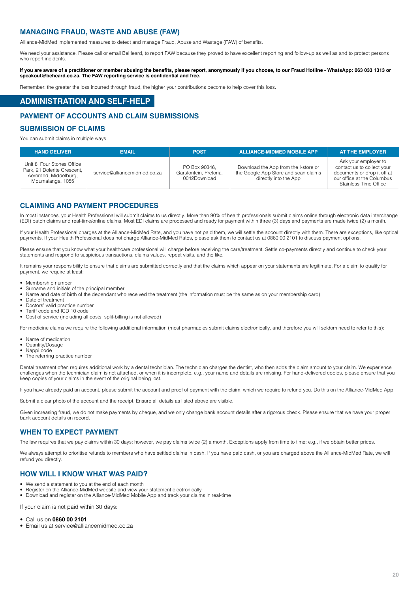#### <span id="page-19-0"></span>**MANAGING FRAUD, WASTE AND ABUSE (FAW)**

Alliance-MidMed implemented measures to detect and manage Fraud, Abuse and Wastage (FAW) of benefits.

We need your assistance. Please call or email BeHeard, to report FAW because they proved to have excellent reporting and follow-up as well as and to protect persons who report incidents.

**If you are aware of a practitioner or member abusing the benefits, please report, anonymously if you choose, to our Fraud Hotline - WhatsApp: 063 033 1313 or [speakout@beheard.co.za. T](mailto:speakout%40beheard.co.za?subject=)he FAW reporting service is confidential and free.**

Remember: the greater the loss incurred through fraud, the higher your contributions become to help cover this loss.

# **ADMINISTRATION AND SELF-HELP**

#### **PAYMENT OF ACCOUNTS AND CLAIM SUBMISSIONS**

#### **SUBMISSION OF CLAIMS**

You can submit claims in multiple ways.

| <b>HAND DELIVER</b>                                                                                    | <b>EMAIL</b>                 | <b>POST</b>                                             | <b>ALLIANCE-MIDMED MOBILE APP</b>                                                                     | <b>AT THE EMPLOYER</b>                                                                                                                   |
|--------------------------------------------------------------------------------------------------------|------------------------------|---------------------------------------------------------|-------------------------------------------------------------------------------------------------------|------------------------------------------------------------------------------------------------------------------------------------------|
| Unit 8, Four Stones Office<br>Park, 21 Dolerite Crescent,<br>Aerorand, Middelburg,<br>Mpumalanga, 1055 | service@alliancemidmed.co.za | PO Box 90346.<br>Garsfontein, Pretoria,<br>0042Download | Download the App from the I-store or<br>the Google App Store and scan claims<br>directly into the App | Ask your employer to<br>contact us to collect your<br>documents or drop it off at<br>our office at the Columbus<br>Stainless Time Office |

#### **CLAIMING AND PAYMENT PROCEDURES**

In most instances, your Health Professional will submit claims to us directly. More than 90% of health professionals submit claims online through electronic data interchange (EDI) batch claims and real-time/online claims. Most EDI claims are processed and ready for payment within three (3) days and payments are made twice (2) a month.

If your Health Professional charges at the Alliance-MidMed Rate, and you have not paid them, we will settle the account directly with them. There are exceptions, like optical payments. If your Health Professional does not charge Alliance-MidMed Rates, please ask them to contact us at 0860 00 2101 to discuss payment options.

Please ensure that you know what your healthcare professional will charge before receiving the care/treatment. Settle co-payments directly and continue to check your statements and respond to suspicious transactions, claims values, repeat visits, and the like.

It remains your responsibility to ensure that claims are submitted correctly and that the claims which appear on your statements are legitimate. For a claim to qualify for payment, we require at least:

- Membership number
- Surname and initials of the principal member
- Name and date of birth of the dependant who received the treatment (the information must be the same as on your membership card)
- Date of treatment
- Doctors' valid practice number
- Tariff code and ICD 10 code
- Cost of service (including all costs, split-billing is not allowed)

For medicine claims we require the following additional information (most pharmacies submit claims electronically, and therefore you will seldom need to refer to this):

- Name of medication
- Quantity/Dosage
- Nappi code
- The referring practice number

Dental treatment often requires additional work by a dental technician. The technician charges the dentist, who then adds the claim amount to your claim. We experience challenges when the technician claim is not attached, or when it is incomplete, e.g., your name and details are missing. For hand-delivered copies, please ensure that you keep copies of your claims in the event of the original being lost.

If you have already paid an account, please submit the account and proof of payment with the claim, which we require to refund you. Do this on the Alliance-MidMed App.

Submit a clear photo of the account and the receipt. Ensure all details as listed above are visible.

Given increasing fraud, we do not make payments by cheque, and we only change bank account details after a rigorous check. Please ensure that we have your proper bank account details on record.

#### **WHEN TO EXPECT PAYMENT**

The law requires that we pay claims within 30 days; however, we pay claims twice (2) a month. Exceptions apply from time to time; e.g., if we obtain better prices.

We always attempt to prioritise refunds to members who have settled claims in cash. If you have paid cash, or you are charged above the Alliance-MidMed Rate, we will refund you directly.

#### **HOW WILL I KNOW WHAT WAS PAID?**

- We send a statement to you at the end of each month
- Register on the Alliance-MidMed website and view your statement electronically<br>• Download and register on the Alliance-MidMed Mobile App and track your claim
- Download and register on the Alliance-MidMed Mobile App and track your claims in real-time

If your claim is not paid within 30 days:

#### • Call us on **0860 00 2101**

• Email us at [service@alliancemidmed.co.za](mailto:service%40alliancemidmed.co.za?subject=)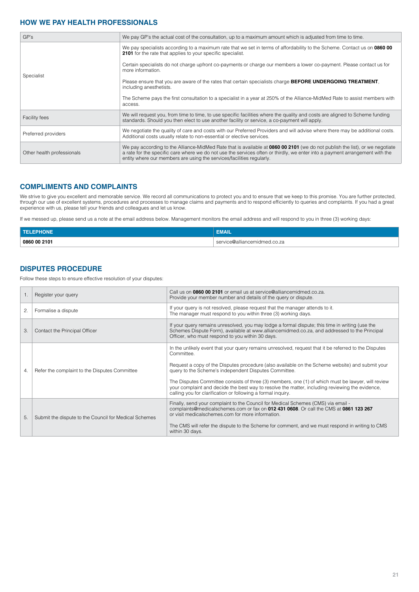## **HOW WE PAY HEALTH PROFESSIONALS**

| GP's                       | We pay GP's the actual cost of the consultation, up to a maximum amount which is adjusted from time to time.                                                                                                                                                                                                                          |  |
|----------------------------|---------------------------------------------------------------------------------------------------------------------------------------------------------------------------------------------------------------------------------------------------------------------------------------------------------------------------------------|--|
|                            | We pay specialists according to a maximum rate that we set in terms of affordability to the Scheme. Contact us on 0860 00<br><b>2101</b> for the rate that applies to your specific specialist.                                                                                                                                       |  |
| Specialist                 | Certain specialists do not charge upfront co-payments or charge our members a lower co-payment. Please contact us for<br>more information.                                                                                                                                                                                            |  |
|                            | Please ensure that you are aware of the rates that certain specialists charge <b>BEFORE UNDERGOING TREATMENT</b> ,<br>including anesthetists.                                                                                                                                                                                         |  |
|                            | The Scheme pays the first consultation to a specialist in a year at 250% of the Alliance-MidMed Rate to assist members with<br>access.                                                                                                                                                                                                |  |
| <b>Facility fees</b>       | We will request you, from time to time, to use specific facilities where the quality and costs are aligned to Scheme funding<br>standards. Should you then elect to use another facility or service, a co-payment will apply.                                                                                                         |  |
| Preferred providers        | We negotiate the quality of care and costs with our Preferred Providers and will advise where there may be additional costs.<br>Additional costs usually relate to non-essential or elective services.                                                                                                                                |  |
| Other health professionals | We pay according to the Alliance-MidMed Rate that is available at 0860 00 2101 (we do not publish the list), or we negotiate<br>a rate for the specific care where we do not use the services often or thirdly, we enter into a payment arrangement with the<br>entity where our members are using the services/facilities regularly. |  |

## **COMPLIMENTS AND COMPLAINTS**

We strive to give you excellent and memorable service. We record all communications to protect you and to ensure that we keep to this promise. You are further protected, through our use of excellent systems, procedures and processes to manage claims and payments and to respond efficiently to queries and complaints. If you had a great experience with us, please tell your friends and colleagues and let us know.

If we messed up, please send us a note at the email address below. Management monitors the email address and will respond to you in three (3) working days:

| <b>TEL</b>   | -----<br>EMAIL.                   |
|--------------|-----------------------------------|
| 0860 00 2101 | service@alliancemidmed.co.za<br>. |

# **DISPUTES PROCEDURE**

Follow these steps to ensure effective resolution of your disputes:

|    | Register your query                                   | Call us on 0860 00 2101 or email us at service@alliancemidmed.co.za.<br>Provide your member number and details of the query or dispute.                                                                                                                                                                                                                                                                                                                                                                                                                  |
|----|-------------------------------------------------------|----------------------------------------------------------------------------------------------------------------------------------------------------------------------------------------------------------------------------------------------------------------------------------------------------------------------------------------------------------------------------------------------------------------------------------------------------------------------------------------------------------------------------------------------------------|
| 2. | Formalise a dispute                                   | If your query is not resolved, please request that the manager attends to it.<br>The manager must respond to you within three (3) working days.                                                                                                                                                                                                                                                                                                                                                                                                          |
| 3. | Contact the Principal Officer                         | If your query remains unresolved, you may lodge a formal dispute; this time in writing (use the<br>Schemes Dispute Form), available at www.alliancemidmed.co.za, and addressed to the Principal<br>Officer, who must respond to you within 30 days.                                                                                                                                                                                                                                                                                                      |
| 4. | Refer the complaint to the Disputes Committee         | In the unlikely event that your query remains unresolved, request that it be referred to the Disputes<br>Committee.<br>Request a copy of the Disputes procedure (also available on the Scheme website) and submit your<br>query to the Scheme's independent Disputes Committee.<br>The Disputes Committee consists of three (3) members, one (1) of which must be lawyer, will review<br>your complaint and decide the best way to resolve the matter, including reviewing the evidence,<br>calling you for clarification or following a formal inquiry. |
| 5. | Submit the dispute to the Council for Medical Schemes | Finally, send your complaint to the Council for Medical Schemes (CMS) via email -<br>complaints@medicalschemes.com or fax on 012 431 0608. Or call the CMS at 0861 123 267<br>or visit medicalschemes.com for more information.<br>The CMS will refer the dispute to the Scheme for comment, and we must respond in writing to CMS<br>within 30 days.                                                                                                                                                                                                    |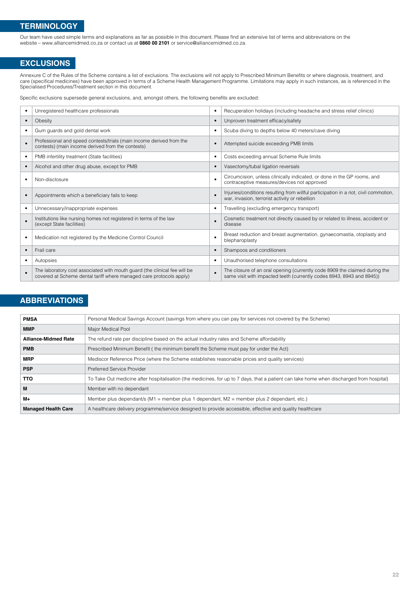# <span id="page-21-0"></span>**TERMINOLOGY**

Our team have used simple terms and explanations as far as possible in this document. Please find an extensive list of terms and abbreviations on the website – [www.alliancemidmed.co.za o](http://www.alliancemidmed.co.za)r contact us at **0860 00 2101** o[r service@alliancemidmed.co.za.](mailto:service%40alliancemidmed.co.za?subject=) 

# **EXCLUSIONS**

Annexure C of the Rules of the Scheme contains a list of exclusions. The exclusions will not apply to Prescribed Minimum Benefits or where diagnosis, treatment, and care (specifical medicines) have been approved in terms of a Scheme Health Management Programme. Limitations may apply in such instances, as is referenced in the Specialised Procedures/Treatment section in this document.

Specific exclusions supersede general exclusions, and, amongst others, the following benefits are excluded:

| Unregistered healthcare professionals                                                                                                            | $\bullet$ | Recuperation holidays (including headache and stress relief clinics)                                                                                |
|--------------------------------------------------------------------------------------------------------------------------------------------------|-----------|-----------------------------------------------------------------------------------------------------------------------------------------------------|
| Obesity                                                                                                                                          | $\bullet$ | Unproven treatment efficacy/safety                                                                                                                  |
| Gum guards and gold dental work                                                                                                                  | $\bullet$ | Scuba diving to depths below 40 meters/cave diving                                                                                                  |
| Professional and speed contests/trials (main income derived from the<br>contests) (main income derived from the contests)                        |           | Attempted suicide exceeding PMB limits                                                                                                              |
| PMB infertility treatment (State facilities)                                                                                                     | $\bullet$ | Costs exceeding annual Scheme Rule limits                                                                                                           |
| Alcohol and other drug abuse, except for PMB                                                                                                     | $\bullet$ | Vasectomy/tubal ligation reversals                                                                                                                  |
| Non-disclosure                                                                                                                                   | $\bullet$ | Circumcision, unless clinically indicated, or done in the GP rooms, and<br>contraceptive measures/devices not approved                              |
| Appointments which a beneficiary fails to keep                                                                                                   | $\bullet$ | Injuries/conditions resulting from willful participation in a riot, civil commotion,<br>war, invasion, terrorist activity or rebellion              |
| Unnecessary/inappropriate expenses                                                                                                               | $\bullet$ | Travelling (excluding emergency transport)                                                                                                          |
| Institutions like nursing homes not registered in terms of the law<br>(except State facilities)                                                  | $\bullet$ | Cosmetic treatment not directly caused by or related to illness, accident or<br>disease                                                             |
| Medication not registered by the Medicine Control Council                                                                                        | ٠         | Breast reduction and breast augmentation, gynaecomastia, otoplasty and<br>blepharoplasty                                                            |
| Frail care                                                                                                                                       | $\bullet$ | Shampoos and conditioners                                                                                                                           |
| Autopsies                                                                                                                                        | $\bullet$ | Unauthorised telephone consultations                                                                                                                |
| The laboratory cost associated with mouth guard (the clinical fee will be<br>covered at Scheme dental tariff where managed care protocols apply) | $\bullet$ | The closure of an oral opening (currently code 8909 the claimed during the<br>same visit with impacted teeth (currently codes 8943, 8943 and 8945)) |

# **ABBREVIATIONS**

| <b>PMSA</b>                 | Personal Medical Savings Account (savings from where you can pay for services not covered by the Scheme)                                 |
|-----------------------------|------------------------------------------------------------------------------------------------------------------------------------------|
| <b>MMP</b>                  | Major Medical Pool                                                                                                                       |
| <b>Alliance-Midmed Rate</b> | The refund rate per discipline based on the actual industry rates and Scheme affordability                                               |
| <b>PMB</b>                  | Prescribed Minimum Benefit (the minimum benefit the Scheme must pay for under the Act)                                                   |
| <b>MRP</b>                  | Mediscor Reference Price (where the Scheme establishes reasonable prices and quality services)                                           |
| <b>PSP</b>                  | <b>Preferred Service Provider</b>                                                                                                        |
| тто                         | To Take Out medicine after hospitalisation (the medicines, for up to 7 days, that a patient can take home when discharged from hospital) |
| M                           | Member with no dependant                                                                                                                 |
| $M+$                        | Member plus dependant/s ( $M1$ = member plus 1 dependant, $M2$ = member plus 2 dependant, etc.)                                          |
| <b>Managed Health Care</b>  | A healthcare delivery programme/service designed to provide accessible, effective and quality healthcare                                 |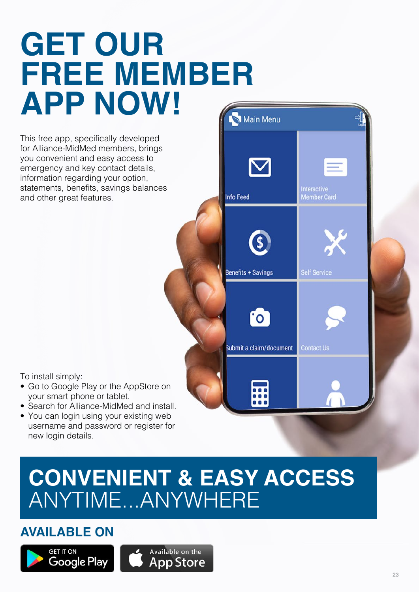# <span id="page-22-0"></span>**GET OUR FREE MEMBER APP NOW!** Main Menu

This free app, specifically developed for Alliance-MidMed members, brings you convenient and easy access to emergency and key contact details, information regarding your option, statements, benefits, savings balances and other great features.



Interactive

To install simply:

- Go to Google Play or the AppStore on your smart phone or tablet.
- Search for Alliance-MidMed and install.
- You can login using your existing web username and password or register for new login details.

# **CONVENIENT & EASY ACCESS** ANYTIME...ANYWHERE

# **AVAILABLE ON**